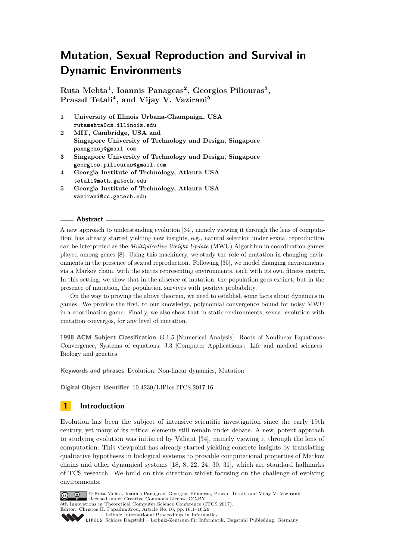# **Mutation, Sexual Reproduction and Survival in Dynamic Environments**

**Ruta Mehta<sup>1</sup> , Ioannis Panageas<sup>2</sup> , Georgios Piliouras<sup>3</sup> , Prasad Tetali<sup>4</sup> , and Vijay V. Vazirani<sup>5</sup>**

- **1 University of Illinois Urbana-Champaign, USA rutamehta@cs.illinois.edu**
- **2 MIT, Cambridge, USA and Singapore University of Technology and Design, Singapore panageasj@gmail.com**
- **3 Singapore University of Technology and Design, Singapore georgios.piliouras@gmail.com**
- **4 Georgia Institute of Technology, Atlanta USA tetali@math.gatech.edu**
- **5 Georgia Institute of Technology, Atlanta USA vazirani@cc.gatech.edu**

#### **Abstract**

A new approach to understanding evolution [\[34\]](#page-18-0), namely viewing it through the lens of computation, has already started yielding new insights, e.g., natural selection under sexual reproduction can be interpreted as the *Multiplicative Weight Update* (MWU) Algorithm in coordination games played among genes [\[8\]](#page-17-0). Using this machinery, we study the role of mutation in changing environments in the presence of sexual reproduction. Following [\[35\]](#page-18-1), we model changing environments via a Markov chain, with the states representing environments, each with its own fitness matrix. In this setting, we show that in the absence of mutation, the population goes extinct, but in the presence of mutation, the population survives with positive probability.

On the way to proving the above theorem, we need to establish some facts about dynamics in games. We provide the first, to our knowledge, polynomial convergence bound for noisy MWU in a coordination game. Finally, we also show that in static environments, sexual evolution with mutation converges, for any level of mutation.

**1998 ACM Subject Classification** G.1.5 [Numerical Analysis]: Roots of Nonlinear Equations– Convergence, Systems of equations; J.3 [Computer Applications]: Life and medical sciences– Biology and genetics

**Keywords and phrases** Evolution, Non-linear dynamics, Mutation

**Digital Object Identifier** [10.4230/LIPIcs.ITCS.2017.16](http://dx.doi.org/10.4230/LIPIcs.ITCS.2017.16)

licensed under Creative Commons License CC-BY

# **1 Introduction**

Evolution has been the subject of intensive scientific investigation since the early 19th century, yet many of its critical elements still remain under debate. A new, potent approach to studying evolution was initiated by Valiant [\[34\]](#page-18-0), namely viewing it through the lens of computation. This viewpoint has already started yielding concrete insights by translating qualitative hypotheses in biological systems to provable computational properties of Markov chains and other dynamical systems [\[18,](#page-17-1) [8,](#page-17-0) [22,](#page-17-2) [24,](#page-17-3) [30,](#page-18-2) [31\]](#page-18-3), which are standard hallmarks of TCS research. We build on this direction whilst focusing on the challenge of evolving environments.

© Ruta Mehta, Ioannis Panageas, Georgios Piliouras, Prasad Tetali, and Vijay V. Vazirani;

 $\boxed{6}$  0

8th Innovations in Theoretical Computer Science Conference (ITCS 2017). Editor: Christos H. Papadimitrou; Article No. 16; pp. 16:1–16[:29](#page-28-0) [Leibniz International Proceedings in Informatics](http://www.dagstuhl.de/lipics/) [Schloss Dagstuhl – Leibniz-Zentrum für Informatik, Dagstuhl Publishing, Germany](http://www.dagstuhl.de)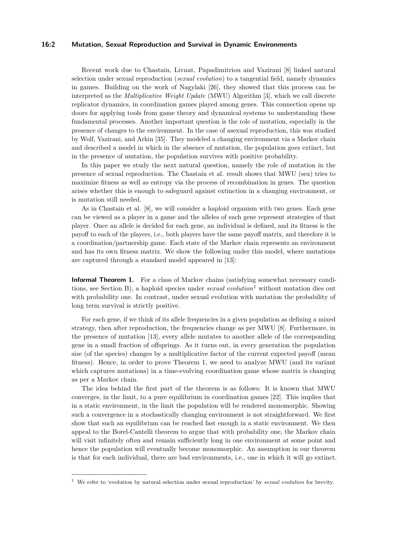#### **16:2 Mutation, Sexual Reproduction and Survival in Dynamic Environments**

Recent work due to Chastain, Livnat, Papadimitriou and Vazirani [\[8\]](#page-17-0) linked natural selection under sexual reproduction (*sexual evolution*) to a tangential field, namely dynamics in games. Building on the work of Nagylaki [\[26\]](#page-18-4), they showed that this process can be interpreted as the *Multiplicative Weight Update* (MWU) Algorithm [\[3\]](#page-16-0), which we call discrete replicator dynamics, in coordination games played among genes. This connection opens up doors for applying tools from game theory and dynamical systems to understanding these fundamental processes. Another important question is the role of mutation, especially in the presence of changes to the environment. In the case of asexual reproduction, this was studied by Wolf, Vazirani, and Arkin [\[35\]](#page-18-1). They modeled a changing environment via a Markov chain and described a model in which in the absence of mutation, the population goes extinct, but in the presence of mutation, the population survives with positive probability.

In this paper we study the next natural question, namely the role of mutation in the presence of sexual reproduction. The Chastain et al. result shows that MWU (sex) tries to maximize fitness as well as entropy via the process of recombination in genes. The question arises whether this is enough to safeguard against extinction in a changing environment, or is mutation still needed.

As in Chastain et al. [\[8\]](#page-17-0), we will consider a haploid organism with two genes. Each gene can be viewed as a player in a game and the alleles of each gene represent strategies of that player. Once an allele is decided for each gene, an individual is defined, and its fitness is the payoff to each of the players, i.e., both players have the same payoff matrix, and therefore it is a coordination/partnership game. Each state of the Markov chain represents an environment and has its own fitness matrix. We show the following under this model, where mutations are captured through a standard model appeared in [\[13\]](#page-17-4):

**Informal Theorem 1.** For a class of Markov chains (satisfying somewhat necessary conditions, see Section [B\)](#page-19-0), a haploid species under *sexual evolution*[1](#page-1-0) without mutation dies out with probability one. In contrast, under sexual evolution with mutation the probability of long term survival is strictly positive.

For each gene, if we think of its allele frequencies in a given population as defining a mixed strategy, then after reproduction, the frequencies change as per MWU [\[8\]](#page-17-0). Furthermore, in the presence of mutation [\[13\]](#page-17-4), every allele mutates to another allele of the corresponding gene in a small fraction of offsprings. As it turns out, in every generation the population size (of the species) changes by a multiplicative factor of the current expected payoff (mean fitness). Hence, in order to prove Theorem 1, we need to analyze MWU (and its variant which captures mutations) in a time-evolving coordination game whose matrix is changing as per a Markov chain.

The idea behind the first part of the theorem is as follows: It is known that MWU converges, in the limit, to a pure equilibrium in coordination games [\[22\]](#page-17-2). This implies that in a static environment, in the limit the population will be rendered monomorphic. Showing such a convergence in a stochastically changing environment is not straightforward. We first show that such an equilibrium can be reached fast enough in a static environment. We then appeal to the Borel-Cantelli theorem to argue that with probability one, the Markov chain will visit infinitely often and remain sufficiently long in one environment at some point and hence the population will eventually become monomorphic. An assumption in our theorem is that for each individual, there are bad environments, i.e., one in which it will go extinct.

<span id="page-1-0"></span><sup>1</sup> We refer to 'evolution by natural selection under sexual reproduction' by *sexual evolution* for brevity.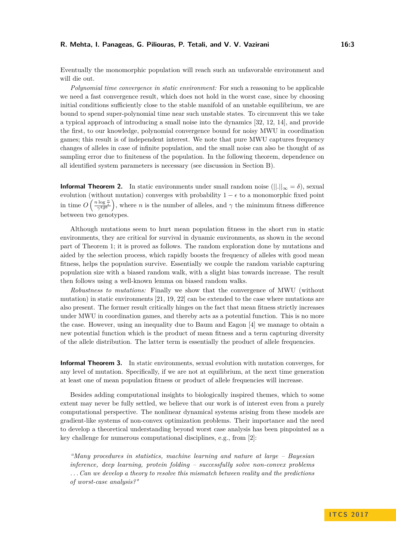Eventually the monomorphic population will reach such an unfavorable environment and will die out.

*Polynomial time convergence in static environment:* For such a reasoning to be applicable we need a fast convergence result, which does not hold in the worst case, since by choosing initial conditions sufficiently close to the stable manifold of an unstable equilibrium, we are bound to spend super-polynomial time near such unstable states. To circumvent this we take a typical approach of introducing a small noise into the dynamics [\[32,](#page-18-5) [12,](#page-17-5) [14\]](#page-17-6), and provide the first, to our knowledge, polynomial convergence bound for noisy MWU in coordination games; this result is of independent interest. We note that pure MWU captures frequency changes of alleles in case of infinite population, and the small noise can also be thought of as sampling error due to finiteness of the population. In the following theorem, dependence on all identified system parameters is necessary (see discussion in Section [B\)](#page-19-0).

**Informal Theorem 2.** In static environments under small random noise ( $||.||_{\infty} = \delta$ ), sexual evolution (without mutation) converges with probability  $1 - \epsilon$  to a monomorphic fixed point in time  $O\left(\frac{n\log\frac{n}{\epsilon}}{\gamma^{4\delta^6}}\right)$ , where *n* is the number of alleles, and  $\gamma$  the minimum fitness difference between two genotypes.

Although mutations seem to hurt mean population fitness in the short run in static environments, they are critical for survival in dynamic environments, as shown in the second part of Theorem 1; it is proved as follows. The random exploration done by mutations and aided by the selection process, which rapidly boosts the frequency of alleles with good mean fitness, helps the population survive. Essentially we couple the random variable capturing population size with a biased random walk, with a slight bias towards increase. The result then follows using a well-known lemma on biased random walks.

*Robustness to mutations:* Finally we show that the convergence of MWU (without mutation) in static environments [\[21,](#page-17-7) [19,](#page-17-8) [22\]](#page-17-2) can be extended to the case where mutations are also present. The former result critically hinges on the fact that mean fitness strictly increases under MWU in coordination games, and thereby acts as a potential function. This is no more the case. However, using an inequality due to Baum and Eagon [\[4\]](#page-17-9) we manage to obtain a new potential function which is the product of mean fitness and a term capturing diversity of the allele distribution. The latter term is essentially the product of allele frequencies.

**Informal Theorem 3.** In static environments, sexual evolution with mutation converges, for any level of mutation. Specifically, if we are not at equilibrium, at the next time generation at least one of mean population fitness or product of allele frequencies will increase.

Besides adding computational insights to biologically inspired themes, which to some extent may never be fully settled, we believe that our work is of interest even from a purely computational perspective. The nonlinear dynamical systems arising from these models are gradient-like systems of non-convex optimization problems. Their importance and the need to develop a theoretical understanding beyond worst case analysis has been pinpointed as a key challenge for numerous computational disciplines, e.g., from [\[2\]](#page-16-1):

*"Many procedures in statistics, machine learning and nature at large – Bayesian inference, deep learning, protein folding – successfully solve non-convex problems . . . Can we develop a theory to resolve this mismatch between reality and the predictions of worst-case analysis?"*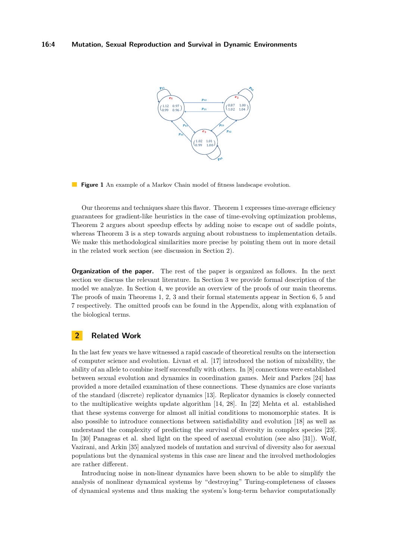<span id="page-3-1"></span>

**Figure 1** An example of a Markov Chain model of fitness landscape evolution.

Our theorems and techniques share this flavor. Theorem 1 expresses time-average efficiency guarantees for gradient-like heuristics in the case of time-evolving optimization problems, Theorem 2 argues about speedup effects by adding noise to escape out of saddle points, whereas Theorem 3 is a step towards arguing about robustness to implementation details. We make this methodological similarities more precise by pointing them out in more detail in the related work section (see discussion in Section [2\)](#page-3-0).

**Organization of the paper.** The rest of the paper is organized as follows. In the next section we discuss the relevant literature. In Section [3](#page-4-0) we provide formal description of the model we analyze. In Section [4,](#page-7-0) we provide an overview of the proofs of our main theorems. The proofs of main Theorems 1, 2, 3 and their formal statements appear in Section [6,](#page-12-0) [5](#page-10-0) and [7](#page-15-0) respectively. The omitted proofs can be found in the Appendix, along with explanation of the biological terms.

# <span id="page-3-0"></span>**2 Related Work**

In the last few years we have witnessed a rapid cascade of theoretical results on the intersection of computer science and evolution. Livnat et al. [\[17\]](#page-17-10) introduced the notion of mixability, the ability of an allele to combine itself successfully with others. In [\[8\]](#page-17-0) connections were established between sexual evolution and dynamics in coordination games. Meir and Parkes [\[24\]](#page-17-3) has provided a more detailed examination of these connections. These dynamics are close variants of the standard (discrete) replicator dynamics [\[13\]](#page-17-4). Replicator dynamics is closely connected to the multiplicative weights update algorithm [\[14,](#page-17-6) [28\]](#page-18-6). In [\[22\]](#page-17-2) Mehta et al. established that these systems converge for almost all initial conditions to monomorphic states. It is also possible to introduce connections between satisfiability and evolution [\[18\]](#page-17-1) as well as understand the complexity of predicting the survival of diversity in complex species [\[23\]](#page-17-11). In [\[30\]](#page-18-2) Panageas et al. shed light on the speed of asexual evolution (see also [\[31\]](#page-18-3)). Wolf, Vazirani, and Arkin [\[35\]](#page-18-1) analyzed models of mutation and survival of diversity also for asexual populations but the dynamical systems in this case are linear and the involved methodologies are rather different.

Introducing noise in non-linear dynamics have been shown to be able to simplify the analysis of nonlinear dynamical systems by "destroying" Turing-completeness of classes of dynamical systems and thus making the system's long-term behavior computationally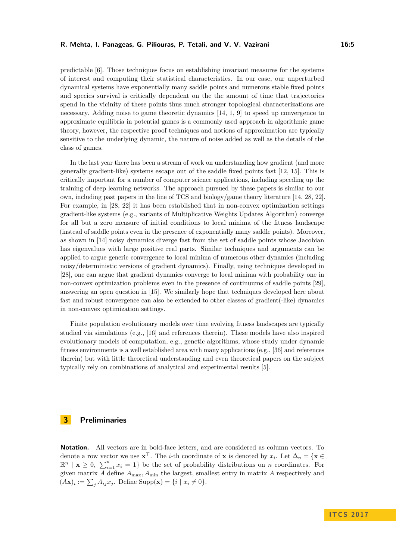predictable [\[6\]](#page-17-12). Those techniques focus on establishing invariant measures for the systems of interest and computing their statistical characteristics. In our case, our unperturbed dynamical systems have exponentially many saddle points and numerous stable fixed points and species survival is critically dependent on the the amount of time that trajectories spend in the vicinity of these points thus much stronger topological characterizations are necessary. Adding noise to game theoretic dynamics [\[14,](#page-17-6) [1,](#page-16-2) [9\]](#page-17-13) to speed up convergence to approximate equilibria in potential games is a commonly used approach in algorithmic game theory, however, the respective proof techniques and notions of approximation are typically sensitive to the underlying dynamic, the nature of noise added as well as the details of the class of games.

In the last year there has been a stream of work on understanding how gradient (and more generally gradient-like) systems escape out of the saddle fixed points fast [\[12,](#page-17-5) [15\]](#page-17-14). This is critically important for a number of computer science applications, including speeding up the training of deep learning networks. The approach pursued by these papers is similar to our own, including past papers in the line of TCS and biology/game theory literature [\[14,](#page-17-6) [28,](#page-18-6) [22\]](#page-17-2). For example, in [\[28,](#page-18-6) [22\]](#page-17-2) it has been established that in non-convex optimization settings gradient-like systems (e.g., variants of Multiplicative Weights Updates Algorithm) converge for all but a zero measure of initial conditions to local minima of the fitness landscape (instead of saddle points even in the presence of exponentially many saddle points). Moreover, as shown in [\[14\]](#page-17-6) noisy dynamics diverge fast from the set of saddle points whose Jacobian has eigenvalues with large positive real parts. Similar techniques and arguments can be applied to argue generic convergence to local minima of numerous other dynamics (including noisy/deterministic versions of gradient dynamics). Finally, using techniques developed in [\[28\]](#page-18-6), one can argue that gradient dynamics converge to local minima with probability one in non-convex optimization problems even in the presence of continuums of saddle points [\[29\]](#page-18-7), answering an open question in [\[15\]](#page-17-14). We similarly hope that techniques developed here about fast and robust convergence can also be extended to other classes of gradient(-like) dynamics in non-convex optimization settings.

Finite population evolutionary models over time evolving fitness landscapes are typically studied via simulations (e.g., [\[16\]](#page-17-15) and references therein). These models have also inspired evolutionary models of computation, e.g., genetic algorithms, whose study under dynamic fitness environments is a well established area with many applications (e.g., [\[36\]](#page-18-8) and references therein) but with little theoretical understanding and even theoretical papers on the subject typically rely on combinations of analytical and experimental results [\[5\]](#page-17-16).

# <span id="page-4-0"></span>**3 Preliminaries**

**Notation.** All vectors are in bold-face letters, and are considered as column vectors. To denote a row vector we use  $\mathbf{x}^{\top}$ . The *i*-th coordinate of **x** is denoted by  $x_i$ . Let  $\Delta_n = {\mathbf{x} \in \mathbb{R}^n}$  $\mathbb{R}^n \mid \mathbf{x} \geq 0$ ,  $\sum_{i=1}^n x_i = 1$  be the set of probability distributions on *n* coordinates. For given matrix  $A$  define  $A_{\text{max}}$ ,  $A_{\text{min}}$  the largest, smallest entry in matrix  $A$  respectively and  $(Ax)_i := \sum_j A_{ij}x_j$ . Define Supp $(x) = \{i \mid x_i \neq 0\}.$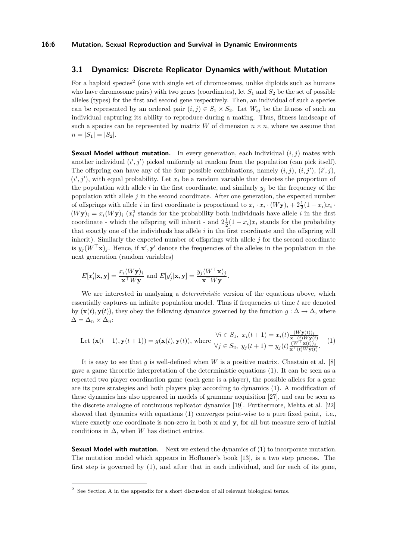#### **16:6 Mutation, Sexual Reproduction and Survival in Dynamic Environments**

### <span id="page-5-2"></span>**3.1 Dynamics: Discrete Replicator Dynamics with/without Mutation**

For a haploid species<sup>[2](#page-5-0)</sup> (one with single set of chromosomes, unlike diploids such as humans who have chromosome pairs) with two genes (coordinates), let  $S_1$  and  $S_2$  be the set of possible alleles (types) for the first and second gene respectively. Then, an individual of such a species can be represented by an ordered pair  $(i, j) \in S_1 \times S_2$ . Let  $W_{ij}$  be the fitness of such an individual capturing its ability to reproduce during a mating. Thus, fitness landscape of such a species can be represented by matrix  $W$  of dimension  $n \times n$ , where we assume that  $n = |S_1| = |S_2|$ .

**Sexual Model without mutation.** In every generation, each individual (*i, j*) mates with another individual  $(i', j')$  picked uniformly at random from the population (can pick itself). The offspring can have any of the four possible combinations, namely  $(i, j)$ ,  $(i, j')$ ,  $(i', j)$ ,  $(i', j')$ , with equal probability. Let  $x_i$  be a random variable that denotes the proportion of the population with allele  $i$  in the first coordinate, and similarly  $y_i$  be the frequency of the population with allele *j* in the second coordinate. After one generation, the expected number of offsprings with allele *i* in first coordinate is proportional to  $x_i \cdot x_i \cdot (W\mathbf{y})_i + 2\frac{1}{2}(1-x_i)x_i$ .  $(Wy)_i = x_i(Wy)_i$  ( $x_i^2$  stands for the probability both individuals have allele *i* in the first coordinate - which the offspring will inherit - and  $2\frac{1}{2}(1-x_i)x_i$  stands for the probability that exactly one of the individuals has allele *i* in the first coordinate and the offspring will inherit). Similarly the expected number of offsprings with allele *j* for the second coordinate is  $y_j(W^{\top} \mathbf{x})_j$ . Hence, if  $\mathbf{x}', \mathbf{y}'$  denote the frequencies of the alleles in the population in the next generation (random variables)

$$
E[x'_i|\mathbf{x}, \mathbf{y}] = \frac{x_i(W\mathbf{y})_i}{\mathbf{x}^\top W \mathbf{y}} \text{ and } E[y'_j|\mathbf{x}, \mathbf{y}] = \frac{y_j(W^\top \mathbf{x})_j}{\mathbf{x}^\top W \mathbf{y}}.
$$

We are interested in analyzing a *deterministic* version of the equations above, which essentially captures an infinite population model. Thus if frequencies at time *t* are denoted by  $(\mathbf{x}(t), \mathbf{y}(t))$ , they obey the following dynamics governed by the function  $g : \Delta \to \Delta$ , where  $\Delta = \Delta_n \times \Delta_n$ :

<span id="page-5-1"></span>Let 
$$
(\mathbf{x}(t+1), \mathbf{y}(t+1)) = g(\mathbf{x}(t), \mathbf{y}(t)),
$$
 where  $\forall i \in S_1, x_i(t+1) = x_i(t) \frac{(W\mathbf{y}(t))_i}{\mathbf{x}^\top(t)W\mathbf{y}(t)} \quad (1)$ 

It is easy to see that *g* is well-defined when *W* is a positive matrix. Chastain et al. [\[8\]](#page-17-0) gave a game theoretic interpretation of the deterministic equations [\(1\)](#page-5-1). It can be seen as a repeated two player coordination game (each gene is a player), the possible alleles for a gene are its pure strategies and both players play according to dynamics [\(1\)](#page-5-1). A modification of these dynamics has also appeared in models of grammar acquisition [\[27\]](#page-18-9), and can be seen as the discrete analogue of continuous replicator dynamics [\[19\]](#page-17-8). Furthermore, Mehta et al. [\[22\]](#page-17-2) showed that dynamics with equations [\(1\)](#page-5-1) converges point-wise to a pure fixed point, i.e., where exactly one coordinate is non-zero in both **x** and **y**, for all but measure zero of initial conditions in  $\Delta$ , when *W* has distinct entries.

**Sexual Model with mutation.** Next we extend the dynamics of [\(1\)](#page-5-1) to incorporate mutation. The mutation model which appears in Hofbauer's book [\[13\]](#page-17-4), is a two step process. The first step is governed by [\(1\)](#page-5-1), and after that in each individual, and for each of its gene,

<span id="page-5-0"></span> $2\text{ See Section A}$  $2\text{ See Section A}$  $2\text{ See Section A}$  in the appendix for a short discussion of all relevant biological terms.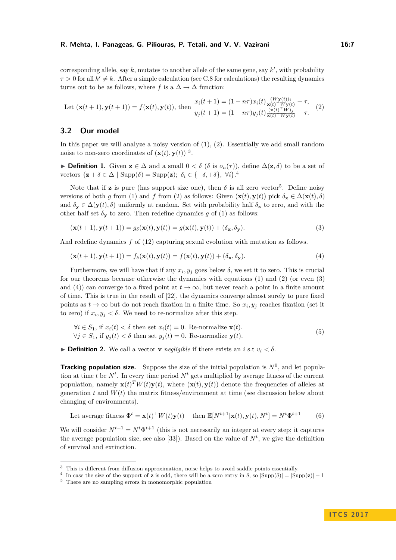corresponding allele, say  $k$ , mutates to another allele of the same gene, say  $k'$ , with probability  $\tau > 0$  for all  $k' \neq k$ . After a simple calculation (see [C.8](#page-26-0) for calculations) the resulting dynamics turns out to be as follows, where *f* is a  $\Delta \rightarrow \Delta$  function:

<span id="page-6-0"></span>Let 
$$
(\mathbf{x}(t+1), \mathbf{y}(t+1)) = f(\mathbf{x}(t), \mathbf{y}(t)), \text{ then } \begin{aligned} x_i(t+1) &= (1 - n\tau)x_i(t) \frac{(W\mathbf{y}(t))_i}{\mathbf{x}(t)^\top W \mathbf{y}(t)} + \tau, \\ y_j(t+1) &= (1 - n\tau)y_j(t) \frac{(\mathbf{x}(t)^\top W)_{j}}{\mathbf{x}(t)^\top W \mathbf{y}(t)} + \tau. \end{aligned} \tag{2}
$$

# **3.2 Our model**

In this paper we will analyze a noisy version of [\(1\)](#page-5-1), [\(2\)](#page-6-0). Essentially we add small random noise to non-zero coordinates of  $(\mathbf{x}(t), \mathbf{y}(t))$ <sup>[3](#page-6-1)</sup>.

**► Definition 1.** Given  $\mathbf{z} \in \Delta$  and a small  $0 < \delta$  ( $\delta$  is  $o_n(\tau)$ ), define  $\Delta(\mathbf{z}, \delta)$  to be a set of vectors  $\{\mathbf{z} + \delta \in \Delta \mid \text{Supp}(\delta) = \text{Supp}(\mathbf{z}); \ \delta_i \in \{-\delta, +\delta\}, \ \forall i\}.^4$  $\{\mathbf{z} + \delta \in \Delta \mid \text{Supp}(\delta) = \text{Supp}(\mathbf{z}); \ \delta_i \in \{-\delta, +\delta\}, \ \forall i\}.^4$ 

Note that if **z** is pure (has support size one), then  $\delta$  is all zero vector<sup>[5](#page-6-3)</sup>. Define noisy versions of both *g* from [\(1\)](#page-5-1) and *f* from [\(2\)](#page-6-0) as follows: Given  $(\mathbf{x}(t), \mathbf{y}(t))$  pick  $\delta_{\mathbf{x}} \in \Delta(\mathbf{x}(t), \delta)$ and  $\delta_{\mathbf{v}} \in \Delta(\mathbf{y}(t), \delta)$  uniformly at random. Set with probability half  $\delta_{\mathbf{x}}$  to zero, and with the other half set  $\delta_{\mathbf{y}}$  to zero. Then redefine dynamics  $g$  of [\(1\)](#page-5-1) as follows:

<span id="page-6-5"></span><span id="page-6-4"></span>
$$
(\mathbf{x}(t+1), \mathbf{y}(t+1)) = g_{\delta}(\mathbf{x}(t), \mathbf{y}(t)) = g(\mathbf{x}(t), \mathbf{y}(t)) + (\delta_{\mathbf{x}}, \delta_{\mathbf{y}}).
$$
\n(3)

And redefine dynamics *f* of [\(12\)](#page-27-0) capturing sexual evolution with mutation as follows.

$$
(\mathbf{x}(t+1), \mathbf{y}(t+1)) = f_{\delta}(\mathbf{x}(t), \mathbf{y}(t)) = f(\mathbf{x}(t), \mathbf{y}(t)) + (\delta_{\mathbf{x}}, \delta_{\mathbf{y}}). \tag{4}
$$

Furthermore, we will have that if any  $x_i, y_j$  goes below  $\delta$ , we set it to zero. This is crucial for our theorems because otherwise the dynamics with equations [\(1\)](#page-5-1) and [\(2\)](#page-6-0) (or even [\(3\)](#page-6-4) and [\(4\)](#page-6-5)) can converge to a fixed point at  $t \to \infty$ , but never reach a point in a finite amount of time. This is true in the result of [\[22\]](#page-17-2), the dynamics converge almost surely to pure fixed points as  $t \to \infty$  but do not reach fixation in a finite time. So  $x_i, y_j$  reaches fixation (set it to zero) if  $x_i, y_j < \delta$ . We need to re-normalize after this step.

$$
\forall i \in S_1, \text{ if } x_i(t) < \delta \text{ then set } x_i(t) = 0. \text{ Re-normalize } \mathbf{x}(t).
$$
\n
$$
\forall j \in S_1, \text{ if } y_j(t) < \delta \text{ then set } y_j(t) = 0. \text{ Re-normalize } \mathbf{y}(t).
$$
\n
$$
(5)
$$

<span id="page-6-7"></span>**Definition 2.** We call a vector **v** *negligible* if there exists an *i* s.t  $v_i < \delta$ .

**Tracking population size.** Suppose the size of the initial population is  $N^0$ , and let population at time *t* be  $N^t$ . In every time period  $N^t$  gets multiplied by average fitness of the current population, namely  $\mathbf{x}(t)^T W(t) \mathbf{y}(t)$ , where  $(\mathbf{x}(t), \mathbf{y}(t))$  denote the frequencies of alleles at generation *t* and *W*(*t*) the matrix fitness/environment at time (see discussion below about changing of environments).

<span id="page-6-6"></span>Let average fitness 
$$
\Phi^t = \mathbf{x}(t)^\top W(t)\mathbf{y}(t)
$$
 then  $\mathbb{E}[N^{t+1}|\mathbf{x}(t), \mathbf{y}(t), N^t] = N^t \Phi^{t+1}$  (6)

We will consider  $N^{t+1} = N^t \Phi^{t+1}$  (this is not necessarily an integer at every step; it captures the average population size, see also [\[33\]](#page-18-11)). Based on the value of  $N<sup>t</sup>$ , we give the definition of survival and extinction.

<span id="page-6-1"></span><sup>&</sup>lt;sup>3</sup> This is different from diffusion approximation, noise helps to avoid saddle points essentially.

<span id="page-6-2"></span><sup>&</sup>lt;sup>4</sup> In case the size of the support of **z** is odd, there will be a zero entry in  $\delta$ , so  $|\text{Supp}(\delta)| = |\text{Supp}(z)| - 1$ 

<span id="page-6-3"></span><sup>5</sup> There are no sampling errors in monomorphic population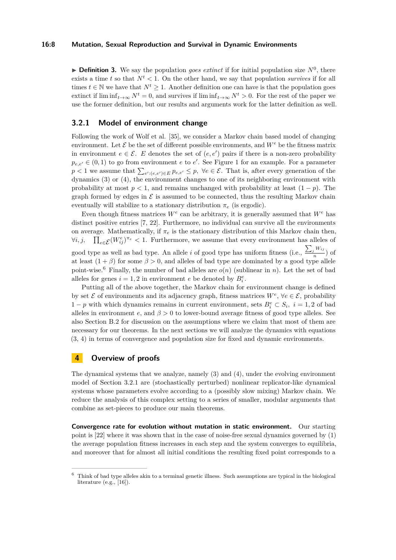#### **16:8 Mutation, Sexual Reproduction and Survival in Dynamic Environments**

 $\blacktriangleright$  **Definition 3.** We say the population *goes extinct* if for initial population size  $N^0$ , there exists a time *t* so that  $N^t < 1$ . On the other hand, we say that population *survives* if for all times  $t \in \mathbb{N}$  we have that  $N^t \geq 1$ . Another definition one can have is that the population goes extinct if  $\liminf_{t\to\infty} N^t = 0$ , and survives if  $\liminf_{t\to\infty} N^t > 0$ . For the rest of the paper we use the former definition, but our results and arguments work for the latter definition as well.

### <span id="page-7-2"></span>**3.2.1 Model of environment change**

Following the work of Wolf et al. [\[35\]](#page-18-1), we consider a Markov chain based model of changing environment. Let  $\mathcal E$  be the set of different possible environments, and  $W^e$  be the fitness matrix in environment  $e \in \mathcal{E}$ . *E* denotes the set of  $(e, e')$  pairs if there is a non-zero probability  $p_{e,e'} \in (0,1)$  to go from environment *e* to *e'*. See Figure [1](#page-3-1) for an example. For a parameter *p* < 1 we assume that  $\sum_{e':(e,e') \in E} p_{e,e'} \leq p$ , ∀*e* ∈  $\mathcal{E}$ . That is, after every generation of the dynamics [\(3\)](#page-6-4) or [\(4\)](#page-6-5), the environment changes to one of its neighboring environment with probability at most  $p < 1$ , and remains unchanged with probability at least  $(1 - p)$ . The graph formed by edges in  $\mathcal E$  is assumed to be connected, thus the resulting Markov chain eventually will stabilize to a stationary distribution  $\pi_e$  (is ergodic).

Even though fitness matrices  $W^e$  can be arbitrary, it is generally assumed that  $W^e$  has distinct positive entries [\[7,](#page-17-17) [22\]](#page-17-2). Furthermore, no individual can survive all the environments on average. Mathematically, if *π<sup>e</sup>* is the stationary distribution of this Markov chain then, ∀*i, j,* Q  $e \in \mathcal{E}(W_{ij}^e)$ <sup> $\pi_e$ </sup> < 1. Furthermore, we assume that every environment has alleles of good type as well as bad type. An allele *i* of good type has uniform fitness  $(i.e., \frac{\sum_j W_{ij}}{n})$  of at least  $(1 + \beta)$  for some  $\beta > 0$ , and alleles of bad type are dominated by a good type allele point-wise.<sup>[6](#page-7-1)</sup> Finally, the number of bad alleles are  $o(n)$  (sublinear in *n*). Let the set of bad alleles for genes  $i = 1, 2$  in environment  $e$  be denoted by  $B_i^e$ .

Putting all of the above together, the Markov chain for environment change is defined by set  $\mathcal{E}$  of environments and its adjacency graph, fitness matrices  $W^e$ ,  $\forall e \in \mathcal{E}$ , probability 1 − *p* with which dynamics remains in current environment, sets  $B_i^e \subset S_i$ ,  $i = 1, 2$  of bad alleles in environment *e*, and  $\beta > 0$  to lower-bound average fitness of good type alleles. See also Section [B.2](#page-19-1) for discussion on the assumptions where we claim that most of them are necessary for our theorems. In the next sections we will analyze the dynamics with equations [\(3,](#page-6-4) [4\)](#page-6-5) in terms of convergence and population size for fixed and dynamic environments.

# <span id="page-7-0"></span>**4 Overview of proofs**

The dynamical systems that we analyze, namely [\(3\)](#page-6-4) and [\(4\)](#page-6-5), under the evolving environment model of Section [3.2.1](#page-7-2) are (stochastically perturbed) nonlinear replicator-like dynamical systems whose parameters evolve according to a (possibly slow mixing) Markov chain. We reduce the analysis of this complex setting to a series of smaller, modular arguments that combine as set-pieces to produce our main theorems.

**Convergence rate for evolution without mutation in static environment.** Our starting point is [\[22\]](#page-17-2) where it was shown that in the case of noise-free sexual dynamics governed by [\(1\)](#page-5-1) the average population fitness increases in each step and the system converges to equilibria, and moreover that for almost all initial conditions the resulting fixed point corresponds to a

<span id="page-7-1"></span><sup>6</sup> Think of bad type alleles akin to a terminal genetic illness. Such assumptions are typical in the biological literature (e.g., [\[16\]](#page-17-15)).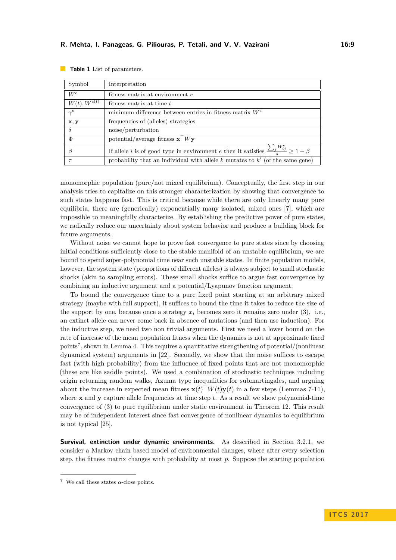| Symbol                   | Interpretation                                                                                                         |
|--------------------------|------------------------------------------------------------------------------------------------------------------------|
| $W^e$                    | fitness matrix at environment e                                                                                        |
| $W(t), W^{e(t)}$         | fitness matrix at time t                                                                                               |
| $\gamma^e$               | minimum difference between entries in fitness matrix $W^e$                                                             |
| $\mathbf{x}, \mathbf{y}$ | frequencies of (alleles) strategies                                                                                    |
| $\delta$                 | noise/perturbation                                                                                                     |
| $\Phi$                   | potential/average fitness $\mathbf{x}^\top W \mathbf{y}$                                                               |
| $\beta$                  | If allele <i>i</i> is of good type in environment <i>e</i> then it satisfies $\frac{\sum_j W_{ij}^e}{n} \ge 1 + \beta$ |
| $\tau$                   | probability that an individual with allele $k$ mutates to $k'$ (of the same gene)                                      |

#### **Table 1** List of parameters.

monomorphic population (pure/not mixed equilibrium). Conceptually, the first step in our analysis tries to capitalize on this stronger characterization by showing that convergence to such states happens fast. This is critical because while there are only linearly many pure equilibria, there are (generically) exponentially many isolated, mixed ones [\[7\]](#page-17-17), which are impossible to meaningfully characterize. By establishing the predictive power of pure states, we radically reduce our uncertainty about system behavior and produce a building block for future arguments.

Without noise we cannot hope to prove fast convergence to pure states since by choosing initial conditions sufficiently close to the stable manifold of an unstable equilibrium, we are bound to spend super-polynomial time near such unstable states. In finite population models, however, the system state (proportions of different alleles) is always subject to small stochastic shocks (akin to sampling errors). These small shocks suffice to argue fast convergence by combining an inductive argument and a potential/Lyapunov function argument.

To bound the convergence time to a pure fixed point starting at an arbitrary mixed strategy (maybe with full support), it suffices to bound the time it takes to reduce the size of the support by one, because once a strategy  $x_i$  becomes zero it remains zero under  $(3)$ , i.e., an extinct allele can never come back in absence of mutations (and then use induction). For the inductive step, we need two non trivial arguments. First we need a lower bound on the rate of increase of the mean population fitness when the dynamics is not at approximate fixed points[7](#page-8-0) , shown in Lemma [4.](#page-10-1) This requires a quantitative strengthening of potential/(nonlinear dynamical system) arguments in [\[22\]](#page-17-2). Secondly, we show that the noise suffices to escape fast (with high probability) from the influence of fixed points that are not monomorphic (these are like saddle points). We used a combination of stochastic techniques including origin returning random walks, Azuma type inequalities for submartingales, and arguing about the increase in expected mean fitness  $\mathbf{x}(t)$ <sup>T</sup> $W(t)\mathbf{y}(t)$  in a few steps (Lemmas [7-](#page-11-0)[11\)](#page-11-1), where  $x$  and  $y$  capture allele frequencies at time step  $t$ . As a result we show polynomial-time convergence of [\(3\)](#page-6-4) to pure equilibrium under static environment in Theorem [12.](#page-11-2) This result may be of independent interest since fast convergence of nonlinear dynamics to equilibrium is not typical [\[25\]](#page-17-18).

**Survival, extinction under dynamic environments.** As described in Section [3.2.1,](#page-7-2) we consider a Markov chain based model of environmental changes, where after every selection step, the fitness matrix changes with probability at most *p*. Suppose the starting population

<span id="page-8-0"></span><sup>&</sup>lt;sup>7</sup> We call these states  $\alpha$ -close points.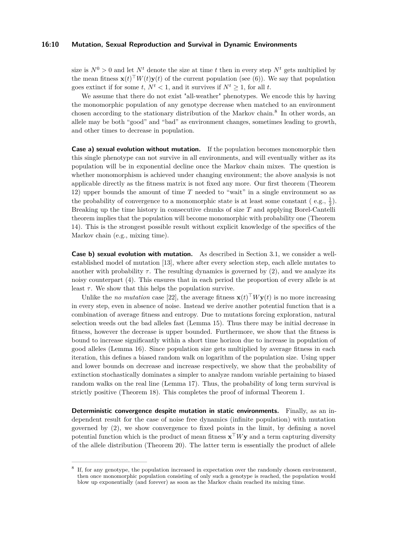#### **16:10 Mutation, Sexual Reproduction and Survival in Dynamic Environments**

size is  $N^0 > 0$  and let  $N^t$  denote the size at time *t* then in every step  $N^t$  gets multiplied by the mean fitness  $\mathbf{x}(t)$ <sup>T</sup> $W(t)\mathbf{y}(t)$  of the current population (see [\(6\)](#page-6-6)). We say that population goes extinct if for some *t*,  $N^t < 1$ , and it survives if  $N^t > 1$ , for all *t*.

We assume that there do not exist "all-weather" phenotypes. We encode this by having the monomorphic population of any genotype decrease when matched to an environment chosen according to the stationary distribution of the Markov chain.<sup>[8](#page-9-0)</sup> In other words, an allele may be both "good" and "bad" as environment changes, sometimes leading to growth, and other times to decrease in population.

**Case a) sexual evolution without mutation.** If the population becomes monomorphic then this single phenotype can not survive in all environments, and will eventually wither as its population will be in exponential decline once the Markov chain mixes. The question is whether monomorphism is achieved under changing environment; the above analysis is not applicable directly as the fitness matrix is not fixed any more. Our first theorem (Theorem [12\)](#page-11-2) upper bounds the amount of time *T* needed to "wait" in a single environment so as the probability of convergence to a monomorphic state is at least some constant (e.g.,  $\frac{1}{2}$ ). Breaking up the time history in consecutive chunks of size *T* and applying Borel-Cantelli theorem implies that the population will become monomorphic with probability one (Theorem [14\)](#page-12-1). This is the strongest possible result without explicit knowledge of the specifics of the Markov chain (e.g., mixing time).

**Case b) sexual evolution with mutation.** As described in Section [3.1,](#page-5-2) we consider a wellestablished model of mutation [\[13\]](#page-17-4), where after every selection step, each allele mutates to another with probability  $\tau$ . The resulting dynamics is governed by [\(2\)](#page-6-0), and we analyze its noisy counterpart [\(4\)](#page-6-5). This ensures that in each period the proportion of every allele is at least  $\tau$ . We show that this helps the population survive.

Unlike the *no mutation* case [\[22\]](#page-17-2), the average fitness  $\mathbf{x}(t)$ <sup>T</sup> $W\mathbf{y}(t)$  is no more increasing in every step, even in absence of noise. Instead we derive another potential function that is a combination of average fitness and entropy. Due to mutations forcing exploration, natural selection weeds out the bad alleles fast (Lemma [15\)](#page-14-0). Thus there may be initial decrease in fitness, however the decrease is upper bounded. Furthermore, we show that the fitness is bound to increase significantly within a short time horizon due to increase in population of good alleles (Lemma [16\)](#page-14-1). Since population size gets multiplied by average fitness in each iteration, this defines a biased random walk on logarithm of the population size. Using upper and lower bounds on decrease and increase respectively, we show that the probability of extinction stochastically dominates a simpler to analyze random variable pertaining to biased random walks on the real line (Lemma [17\)](#page-14-2). Thus, the probability of long term survival is strictly positive (Theorem [18\)](#page-14-3). This completes the proof of informal Theorem 1.

**Deterministic convergence despite mutation in static environments.** Finally, as an independent result for the case of noise free dynamics (infinite population) with mutation governed by [\(2\)](#page-6-0), we show convergence to fixed points in the limit, by defining a novel potential function which is the product of mean fitness  $\mathbf{x}^{\top} W \mathbf{y}$  and a term capturing diversity of the allele distribution (Theorem [20\)](#page-15-1). The latter term is essentially the product of allele

<span id="page-9-0"></span><sup>8</sup> If, for any genotype, the population increased in expectation over the randomly chosen environment, then once monomorphic population consisting of only such a genotype is reached, the population would blow up exponentially (and forever) as soon as the Markov chain reached its mixing time.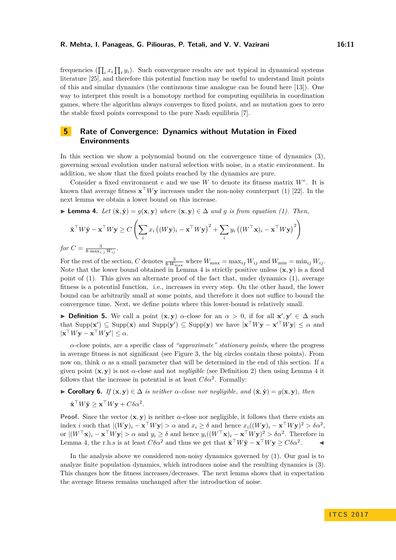frequencies  $(\prod_i x_i \prod_i y_i)$ . Such convergence results are not typical in dynamical systems literature [\[25\]](#page-17-18), and therefore this potential function may be useful to understand limit points of this and similar dynamics (the continuous time analogue can be found here [\[13\]](#page-17-4)). One way to interpret this result is a homotopy method for computing equilibria in coordination games, where the algorithm always converges to fixed points, and as mutation goes to zero the stable fixed points correspond to the pure Nash equilibria [\[7\]](#page-17-17).

# <span id="page-10-0"></span>**5 Rate of Convergence: Dynamics without Mutation in Fixed Environments**

In this section we show a polynomial bound on the convergence time of dynamics [\(3\)](#page-6-4), governing sexual evolution under natural selection with noise, in a static environment. In addition, we show that the fixed points reached by the dynamics are pure.

Consider a fixed environment  $e$  and we use  $W$  to denote its fitness matrix  $W^e$ . It is known that average fitness  $\mathbf{x}^\top W \mathbf{y}$  increases under the non-noisy counterpart [\(1\)](#page-5-1) [\[22\]](#page-17-2). In the next lemma we obtain a lower bound on this increase.

<span id="page-10-1"></span>▶ **Lemma 4.** *Let*  $(\hat{\mathbf{x}}, \hat{\mathbf{y}}) = g(\mathbf{x}, \mathbf{y})$  *where*  $(\mathbf{x}, \mathbf{y}) \in \Delta$  *and g is from equation [\(1\)](#page-5-1). Then,* 

$$
\hat{\mathbf{x}}^{\top} W \hat{\mathbf{y}} - \mathbf{x}^{\top} W \mathbf{y} \ge C \left( \sum_{i} x_i \left( (W \mathbf{y})_i - \mathbf{x}^{\top} W \mathbf{y} \right)^2 + \sum_{i} y_i \left( (W^{\top} \mathbf{x})_i - \mathbf{x}^{\top} W \mathbf{y} \right)^2 \right)
$$

 $for C = \frac{3}{8 \cdot \max_{i,j} W_{ij}}$ .

For the rest of the section, *C* denotes  $\frac{3}{8 \cdot W_{\text{max}}}$  where  $W_{\text{max}} = \max_{ij} W_{ij}$  and  $W_{\text{min}} = \min_{ij} W_{ij}$ . Note that the lower bound obtained in Lemma [4](#page-10-1) is strictly positive unless  $(\mathbf{x}, \mathbf{y})$  is a fixed point of [\(1\)](#page-5-1). This gives an alternate proof of the fact that, under dynamics [\(1\)](#page-5-1), average fitness is a potential function, i.e., increases in every step. On the other hand, the lower bound can be arbitrarily small at some points, and therefore it does not suffice to bound the convergence time. Next, we define points where this lower-bound is relatively small.

**Definition 5.** We call a point  $(\mathbf{x}, \mathbf{y})$  *α*-close for an  $\alpha > 0$ , if for all  $\mathbf{x}', \mathbf{y}' \in \Delta$  such that  $\text{Supp}(\mathbf{x}') \subseteq \text{Supp}(\mathbf{x})$  and  $\text{Supp}(\mathbf{y}') \subseteq \text{Supp}(\mathbf{y})$  we have  $|\mathbf{x}^\top W \mathbf{y} - \mathbf{x}'^\top W \mathbf{y}| \leq \alpha$  and  $|\mathbf{x}^\top W \mathbf{y} - \mathbf{x}^\top W \mathbf{y}'| \leq \alpha.$ 

*α*-close points, are a specific class of *"approximate" stationary points*, where the progress in average fitness is not significant (see Figure [3,](#page-28-1) the big circles contain these points). From now on, think  $\alpha$  as a small parameter that will be determined in the end of this section. If a given point  $(\mathbf{x}, \mathbf{y})$  is not *α*-close and not *negligible* (see Definition [2\)](#page-6-7) then using Lemma [4](#page-10-1) it follows that the increase in potential is at least  $C\delta\alpha^2$ . Formally:

<span id="page-10-2"></span> $\triangleright$  **Corollary 6.** *If* (**x**, **y**) ∈  $\Delta$  *is neither*  $\alpha$ -close nor negligible, and (**x**̂, **ŷ**) =  $g$ (**x**, **y**), then  $\hat{\mathbf{x}}^{\top}W\hat{\mathbf{y}} \geq \mathbf{x}^{\top}W\mathbf{y} + C\delta\alpha^2.$ 

**Proof.** Since the vector  $(\mathbf{x}, \mathbf{y})$  is neither *α*-close nor negligible, it follows that there exists an index *i* such that  $|(Wy)_i - \mathbf{x}^\top Wy| > \alpha$  and  $x_i \ge \delta$  and hence  $x_i((Wy)_i - \mathbf{x}^\top Wy)^2 > \delta \alpha^2$ , or  $|(W^{\top} \mathbf{x})_i - \mathbf{x}^{\top} W \mathbf{y}| > \alpha$  and  $y_i \ge \delta$  and hence  $y_i((W^{\top} \mathbf{x})_i - \mathbf{x}^{\top} W \mathbf{y})^2 > \delta \alpha^2$ . Therefore in Lemma [4,](#page-10-1) the r.h.s is at least  $C\delta\alpha^2$  and thus we get that  $\hat{\mathbf{x}}^T W \hat{\mathbf{y}} - \mathbf{x}^T W \mathbf{y} \geq C\delta\alpha^2$ *.* J

In the analysis above we considered non-noisy dynamics governed by [\(1\)](#page-5-1). Our goal is to analyze finite population dynamics, which introduces noise and the resulting dynamics is [\(3\)](#page-6-4). This changes how the fitness increases/decreases. The next lemma shows that in expectation the average fitness remains unchanged after the introduction of noise.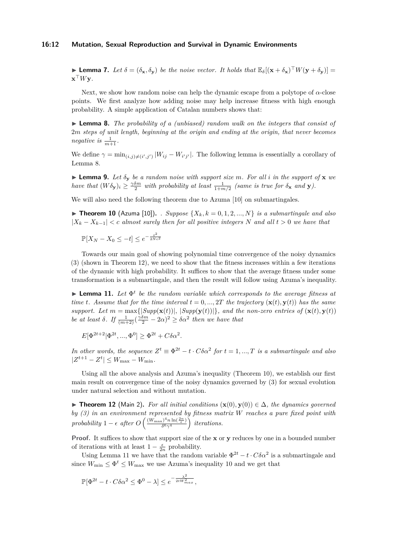#### **16:12 Mutation, Sexual Reproduction and Survival in Dynamic Environments**

<span id="page-11-0"></span>**Example 7.** *Let*  $\delta = (\delta_{\mathbf{x}}, \delta_{\mathbf{y}})$  *be the noise vector. It holds that*  $\mathbb{E}_{\delta}[(\mathbf{x} + \delta_{\mathbf{x}})^{\top}W(\mathbf{y} + \delta_{\mathbf{y}})]$  $\mathbf{x}^\top W \mathbf{y}$ .

Next, we show how random noise can help the dynamic escape from a polytope of *α*-close points. We first analyze how adding noise may help increase fitness with high enough probability. A simple application of Catalan numbers shows that:

<span id="page-11-3"></span>I **Lemma 8.** *The probability of a (unbiased) random walk on the integers that consist of* 2*m steps of unit length, beginning at the origin and ending at the origin, that never becomes negative is*  $\frac{1}{m+1}$ *.* 

We define  $\gamma = \min_{(i,j)\neq (i',j')} |W_{ij} - W_{i'j'}|$ . The following lemma is essentially a corollary of Lemma [8.](#page-11-3)

<span id="page-11-5"></span> $\blacktriangleright$  **Lemma 9.** Let  $\delta_{\mathbf{y}}$  be a random noise with support size m. For all *i* in the support of **x** we *have that*  $(W\delta_{\mathbf{y}})_i \geq \frac{\gamma \delta m}{2}$  *with probability at least*  $\frac{1}{1+m/2}$  *(same is true for*  $\delta_{\mathbf{x}}$  *and* **y***)*.

We will also need the following theorem due to Azuma [\[10\]](#page-17-19) on submartingales.

<span id="page-11-4"></span> $\triangleright$  **Theorem 10** (Azuma [\[10\]](#page-17-19)). *. Suppose*  $\{X_k, k = 0, 1, 2, ..., N\}$  *is a submartingale and also* |*X<sup>k</sup>* − *Xk*−1| *< c almost surely then for all positive integers N and all t >* 0 *we have that*

 $\mathbb{P}[X_N - X_0 \le -t] \le e^{-\frac{t^2}{2Nc^2}}$ 

Towards our main goal of showing polynomial time convergence of the noisy dynamics [\(3\)](#page-6-4) (shown in Theorem [12\)](#page-11-2), we need to show that the fitness increases within a few iterations of the dynamic with high probability. It suffices to show that the average fitness under some transformation is a submartingale, and then the result will follow using Azuma's inequality.

<span id="page-11-1"></span>**Lemma 11.** Let  $\Phi^t$  be the random variable which corresponds to the average fitness at *time t. Assume that for the time interval*  $t = 0, ..., 2T$  *the trajectory*  $(\mathbf{x}(t), \mathbf{y}(t))$  *has the same support.* Let  $m = \max\{|Supp(\mathbf{x}(t))|, |Supp(\mathbf{y}(t))|\}$ , and the non-zero entries of  $(\mathbf{x}(t), \mathbf{y}(t))$ *be at least*  $\delta$ *. If*  $\frac{1}{(m+2)} (\frac{\gamma \delta m}{2} - 2\alpha)^2 \geq \delta \alpha^2$  then we have that

$$
E[\Phi^{2t+2}|\Phi^{2t},...,\Phi^0] \ge \Phi^{2t} + C\delta\alpha^2.
$$

*In other words, the sequence*  $Z^t \equiv \Phi^{2t} - t \cdot C \delta \alpha^2$  *for*  $t = 1, ..., T$  *is a submartingale and also*  $|Z^{t+1} - Z^t| \leq W_{\text{max}} - W_{\text{min}}.$ 

Using all the above analysis and Azuma's inequality (Theorem [10\)](#page-11-4), we establish our first main result on convergence time of the noisy dynamics governed by [\(3\)](#page-6-4) for sexual evolution under natural selection and without mutation.

<span id="page-11-2"></span>**► Theorem 12** (Main 2). For all initial conditions  $(\mathbf{x}(0), \mathbf{y}(0)) \in \Delta$ , the dynamics governed *by [\(3\)](#page-6-4) in an environment represented by fitness matrix W reaches a pure fixed point with*  $\text{probability } 1 - \epsilon \text{ after } O\left(\frac{(W_{\text{max}})^{4} n \ln\left(\frac{2n}{\epsilon}\right)}{\delta^{6} \gamma^{4}}\right)$  $\frac{\lambda^{4}n\ln(\frac{2n}{\epsilon})}{\delta^{6}\gamma^{4}}$  ) *iterations.* 

**Proof.** It suffices to show that support size of the **x** or **y** reduces by one in a bounded number of iterations with at least  $1 - \frac{\epsilon}{2n}$  probability.

Using Lemma [11](#page-11-1) we have that the random variable  $\Phi^{2t} - t \cdot C \delta \alpha^2$  is a submartingale and since  $W_{\text{min}} \leq \Phi^t \leq W_{\text{max}}$  we use Azuma's inequality [10](#page-11-4) and we get that

$$
\mathbb{P}[\Phi^{2t} - t \cdot C\delta\alpha^2 \le \Phi^0 - \lambda] \le e^{-\frac{\lambda^2}{2tW_{max}^2}},
$$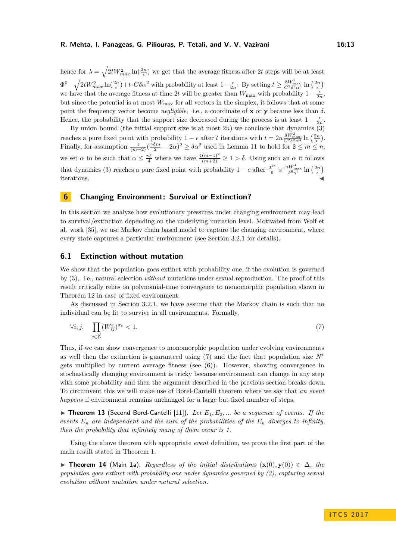hence for  $\lambda = \sqrt{2tW_{max}^2 \ln(\frac{2n}{\epsilon})}$  we get that the average fitness after 2t steps will be at least  $\Phi^0 - \sqrt{2tW_{max}^2 \ln(\frac{2n}{\epsilon})} + t \cdot C\delta\alpha^2$  with probability at least  $1 - \frac{\epsilon}{2n}$ . By setting  $t \geq \frac{8W_{\max}^2}{C^2 \delta^2 \alpha^4} \ln(\frac{2n}{\epsilon})$ we have that the average fitness at time 2*t* will be greater than  $W_{\text{max}}$  with probability  $1-\frac{\epsilon}{2n}$ , but since the potential is at most  $W_{\text{max}}$  for all vectors in the simplex, it follows that at some point the frequency vector become *negligible*, i.e., a coordinate of **x** or **y** became less than  $\delta$ . Hence, the probability that the support size decreased during the process is at least  $1 - \frac{\epsilon}{2n}$ .

By union bound (the initial support size is at most  $2n$ ) we conclude that dynamics  $\overline{(3)}$  $\overline{(3)}$  $\overline{(3)}$ reaches a pure fixed point with probability  $1 - \epsilon$  after *t* iterations with  $t = 2n \frac{8W_{\text{max}}^2}{C^2 \delta^2 \alpha^4} \ln\left(\frac{2n}{\epsilon}\right)$ . Finally, for assumption  $\frac{1}{(m+2)}(\frac{\gamma\delta m}{2} - 2\alpha)^2 \ge \delta \alpha^2$  used in Lemma [11](#page-11-1) to hold for  $2 \le m \le n$ , we set  $\alpha$  to be such that  $\alpha \leq \frac{\gamma \delta}{4}$  where we have  $\frac{4(m-1)^2}{(m+2)} \geq 1 > \delta$ . Using such an  $\alpha$  it follows that dynamics [\(3\)](#page-6-4) reaches a pure fixed point with probability  $1 - \epsilon$  after  $\frac{2^{18}}{9} \times \frac{nW_{\text{max}}^4}{\delta^6 \gamma^4} \ln\left(\frac{2n}{\epsilon}\right)$  $i$  iterations.

# <span id="page-12-0"></span>**6 Changing Environment: Survival or Extinction?**

In this section we analyze how evolutionary pressures under changing environment may lead to survival/extinction depending on the underlying mutation level. Motivated from Wolf et al. work [\[35\]](#page-18-1), we use Markov chain based model to capture the changing environment, where every state captures a particular environment (see Section [3.2.1](#page-7-2) for details).

### **6.1 Extinction without mutation**

We show that the population goes extinct with probability one, if the evolution is governed by [\(3\)](#page-6-4), i.e., natural selection *without* mutations under sexual reproduction. The proof of this result critically relies on polynomial-time convergence to monomorphic population shown in Theorem [12](#page-11-2) in case of fixed environment.

As discussed in Section [3.2.1,](#page-7-2) we have assume that the Markov chain is such that no individual can be fit to survive in all environments. Formally,

<span id="page-12-2"></span>
$$
\forall i, j, \quad \prod_{e \in \mathcal{E}} (W_{ij}^e)^{\pi_e} < 1. \tag{7}
$$

Thus, if we can show convergence to monomorphic population under evolving environments as well then the extinction is guaranteed using [\(7\)](#page-12-2) and the fact that population size  $N<sup>t</sup>$ gets multiplied by current average fitness (see [\(6\)](#page-6-6)). However, showing convergence in stochastically changing environment is tricky because environment can change in any step with some probability and then the argument described in the previous section breaks down. To circumvent this we will make use of Borel-Cantelli theorem where we say that *an event happens* if environment remains unchanged for a large but fixed number of steps.

<span id="page-12-3"></span> $\triangleright$  **Theorem 13** (Second Borel-Cantelli [\[11\]](#page-17-20)). Let  $E_1, E_2, ...$  be a sequence of events. If the *events*  $E_n$  *are independent and the sum of the probabilities of the*  $E_n$  *diverges to infinity, then the probability that infinitely many of them occur is 1.*

Using the above theorem with appropriate *event* definition, we prove the first part of the main result stated in Theorem 1.

<span id="page-12-1"></span>**► Theorem 14** (Main 1a), *Regardless of the initial distributions*  $(\mathbf{x}(0), \mathbf{y}(0)) \in \Delta$ *, the population goes extinct with probability one under dynamics governed by [\(3\)](#page-6-4), capturing sexual evolution without mutation under natural selection.*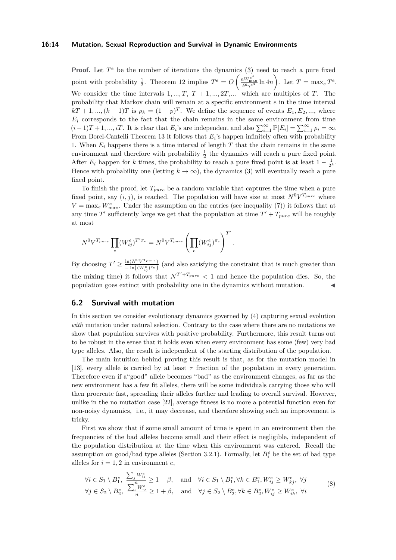#### **16:14 Mutation, Sexual Reproduction and Survival in Dynamic Environments**

**Proof.** Let  $T^e$  be the number of iterations the dynamics [\(3\)](#page-6-4) need to reach a pure fixed point with probability  $\frac{1}{2}$ . Theorem [12](#page-11-2) implies  $T^e = O\left(\frac{nW_{\text{max}}^e}{\delta^6 \gamma e^4} \ln 4n\right)$ . Let  $T = \max_e T^e$ . We consider the time intervals  $1, ..., T, T + 1, ..., 2T, ...$  which are multiples of *T*. The probability that Markov chain will remain at a specific environment *e* in the time interval  $kT + 1, \ldots, (k + 1)T$  is  $\rho_k = (1 - p)^T$ . We define the sequence of events  $E_1, E_2, \ldots$ , where  $E_i$  corresponds to the fact that the chain remains in the same environment from time  $(i-1)T + 1, ..., iT$ . It is clear that *E<sub>i</sub>*'s are independent and also  $\sum_{i=1}^{\infty} \mathbb{P}[E_i] = \sum_{i=1}^{\infty} \rho_i = \infty$ . From Borel-Cantelli Theorem [13](#page-12-3) it follows that *E<sup>i</sup>* 's happen infinitely often with probability 1. When  $E_i$  happens there is a time interval of length  $T$  that the chain remains in the same environment and therefore with probability  $\frac{1}{2}$  the dynamics will reach a pure fixed point. After  $E_i$  happen for *k* times, the probability to reach a pure fixed point is at least  $1 - \frac{1}{2^k}$ . Hence with probability one (letting  $k \to \infty$ ), the dynamics [\(3\)](#page-6-4) will eventually reach a pure fixed point.

To finish the proof, let *Tpure* be a random variable that captures the time when a pure fixed point, say  $(i, j)$ , is reached. The population will have size at most  $N^0V^{T_{pure}}$  where  $V = \max_{e} W_{\text{max}}^{e}$ . Under the assumption on the entries (see inequality [\(7\)](#page-12-2)) it follows that at any time  $T'$  sufficiently large we get that the population at time  $T' + T_{pure}$  will be roughly at most

$$
N^0 V^{T_{pure}} \prod_e (W_{ij}^e)^{T'\pi_e} = N^0 V^{T_{pure}} \left(\prod_e (W_{ij}^e)^{\pi_e}\right)^{T'}.
$$

By choosing  $T' \geq \frac{\ln(N^0 V^{T_{pure}})}{1 + \sqrt{(We^2 V_{min}^2)}}$  $\frac{m(N^{\epsilon}V^{-p(x,\epsilon)})}{m((W_{ij}^e)^{\pi_e})}$  (and also satisfying the constraint that is much greater than the mixing time) it follows that  $N^{T'+T_{pure}} < 1$  and hence the population dies. So, the population goes extinct with probability one in the dynamics without mutation.

# **6.2 Survival with mutation**

In this section we consider evolutionary dynamics governed by [\(4\)](#page-6-5) capturing sexual evolution *with* mutation under natural selection. Contrary to the case where there are no mutations we show that population survives with positive probability. Furthermore, this result turns out to be robust in the sense that it holds even when every environment has some (few) very bad type alleles. Also, the result is independent of the starting distribution of the population.

The main intuition behind proving this result is that, as for the mutation model in [\[13\]](#page-17-4), every allele is carried by at least *τ* fraction of the population in every generation. Therefore even if a"good" allele becomes "bad" as the environment changes, as far as the new environment has a few fit alleles, there will be some individuals carrying those who will then procreate fast, spreading their alleles further and leading to overall survival. However, unlike in the no mutation case [\[22\]](#page-17-2), average fitness is no more a potential function even for non-noisy dynamics, i.e., it may decrease, and therefore showing such an improvement is tricky.

First we show that if some small amount of time is spent in an environment then the frequencies of the bad alleles become small and their effect is negligible, independent of the population distribution at the time when this environment was entered. Recall the assumption on good/bad type alleles (Section [3.2.1\)](#page-7-2). Formally, let  $B_i^e$  be the set of bad type alleles for  $i = 1, 2$  in environment *e*,

<span id="page-13-0"></span>
$$
\forall i \in S_1 \setminus B_1^e, \ \frac{\sum_j W_{ij}^e}{n} \ge 1 + \beta, \quad \text{and} \quad \forall i \in S_1 \setminus B_1^e, \forall k \in B_1^e, W_{ij}^e \ge W_{kj}^e, \ \forall j
$$
\n
$$
\forall j \in S_2 \setminus B_2^e, \ \frac{\sum_i W_{ij}^e}{n} \ge 1 + \beta, \quad \text{and} \quad \forall j \in S_2 \setminus B_2^e, \forall k \in B_2^e, W_{ij}^e \ge W_{ik}^e, \ \forall i
$$
\n
$$
(8)
$$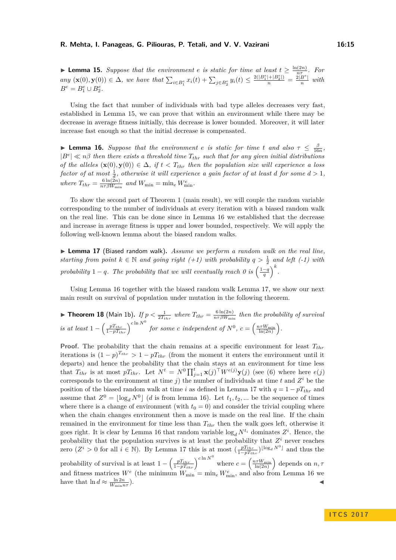<span id="page-14-0"></span>**Lemma 15.** Suppose that the environment *e* is static for time at least  $t \geq \frac{\ln(2n)}{n\tau}$ *nτ . For* any  $(\mathbf{x}(0), \mathbf{y}(0)) \in \Delta$ , we have that  $\sum_{i \in B_1^e} x_i(t) + \sum_{j \in B_2^e} y_i(t) \leq \frac{2(|B_1^e| + |B_2^e|)}{n} = \frac{2|B^e|}{n}$  $\frac{B}{n}$  *with*  $B^e = B^e_1 \cup B^e_2.$ 

Using the fact that number of individuals with bad type alleles decreases very fast, established in Lemma [15,](#page-14-0) we can prove that within an environment while there may be decrease in average fitness initially, this decrease is lower bounded. Moreover, it will later increase fast enough so that the initial decrease is compensated.

<span id="page-14-1"></span>**Lemma 16.** *Suppose that the environment <i>e is static for time t and also*  $\tau \leq \frac{\beta}{16n}$ ,  $|B^e| \ll n\beta$  then there exists a threshold time  $T_{thr}$  such that for any given initial distributions *of the alleles*  $(\mathbf{x}(0), \mathbf{y}(0)) \in \Delta$ *, if*  $t < T_{thr}$  *then the population size will experience a loss*  $factor$  *of at most*  $\frac{1}{d}$ *, otherwise it will experience a gain factor of at least*  $d$  *for some*  $d > 1$ *, where*  $T_{thr} = \frac{6 \ln(2n)}{n \tau \beta W_{mi}}$  $\frac{6 \ln(2n)}{n \tau \beta W_{\min}}$  and  $W_{\min} = \min_e W_{\min}^e$ .

To show the second part of Theorem 1 (main result), we will couple the random variable corresponding to the number of individuals at every iteration with a biased random walk on the real line. This can be done since in Lemma [16](#page-14-1) we established that the decrease and increase in average fitness is upper and lower bounded, respectively. We will apply the following well-known lemma about the biased random walks.

<span id="page-14-2"></span>▶ Lemma 17 (Biased random walk). *Assume we perform a random walk on the real line*, *starting from point*  $k \in \mathbb{N}$  and going right (+1) with probability  $q > \frac{1}{2}$  and left (-1) with *probability*  $1 - q$ *. The probability that we will eventually reach 0 is*  $\left(\frac{1-q}{q}\right)^k$ *.* 

Using Lemma [16](#page-14-1) together with the biased random walk Lemma [17,](#page-14-2) we show our next main result on survival of population under mutation in the following theorem.

<span id="page-14-3"></span>**Fheorem 18** (Main 1b). *If*  $p < \frac{1}{2T_{thr}}$  where  $T_{thr} = \frac{6 \ln(2n)}{n \tau \beta W_{\text{mi}}}$  $\frac{\text{on}(\mathbb{Z}^n)}{n \tau \beta W_{\min}}$  then the probability of survival *is at least*  $1 - \left(\frac{pT_{thr}}{1 - pT_{thr}}\right)^{c \ln N^0}$  *for some c independent of*  $N^0$ ,  $c = \left(\frac{n\tau W_{min}}{\ln(2n)}\right)$ .

**Proof.** The probability that the chain remains at a specific environment for least *Tthr* iterations is  $(1-p)^{T_{thr}} > 1 - pT_{thr}$  (from the moment it enters the environment until it departs) and hence the probability that the chain stays at an environment for time less that  $T_{thr}$  is at most  $pT_{thr}$ . Let  $N^t = N^0 \prod_{j=1}^t \mathbf{x}(j)^\top W^{e(j)} \mathbf{y}(j)$  (see [\(6\)](#page-6-6) where here  $e(j)$ corresponds to the environment at time  $j$ ) the number of individuals at time  $t$  and  $Z<sup>i</sup>$  be the position of the biased random walk at time *i* as defined in Lemma [17](#page-14-2) with  $q = 1 - pT_{thr}$  and assume that  $Z^0 = \lfloor \log_d N^0 \rfloor$  (*d* is from lemma [16\)](#page-14-1). Let  $t_1, t_2, ...$  be the sequence of times where there is a change of environment (with  $t_0 = 0$ ) and consider the trivial coupling where when the chain changes environment then a move is made on the real line. If the chain remained in the environment for time less than *Tthr* then the walk goes left, otherwise it goes right. It is clear by Lemma [16](#page-14-1) that random variable  $\log_d N^{t_i}$  dominates  $Z^i$ . Hence, the probability that the population survives is at least the probability that *Z <sup>i</sup>* never reaches zero  $(Z^i > 0$  for all  $i \in \mathbb{N}$ ). By Lemma [17](#page-14-2) this is at most  $(\frac{pT_{thr}}{1-pT_{thr}})^{\lfloor \log_d N^0 \rfloor}$  and thus the probability of survival is at least  $1 - \left(\frac{pT_{thr}}{1 - pT_{thr}}\right)^{c \ln N^0}$  where  $c = \left(\frac{n\tau W_{min}}{\ln(2n)}\right)$  depends on  $n, \tau$ and fitness matrices  $W^e$  (the minimum  $W_{\text{min}} = \min_e W_{\text{min}}^e$ , and also from Lemma [16](#page-14-1) we have that  $\ln d \approx \frac{\ln 2n}{W_{\min} n \tau}$  $\blacksquare$ ).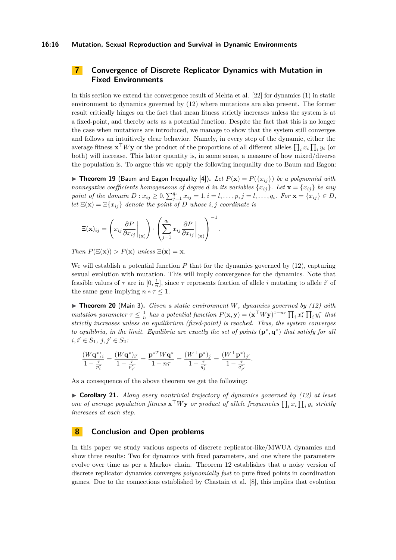#### **16:16 Mutation, Sexual Reproduction and Survival in Dynamic Environments**

# <span id="page-15-0"></span>**7 Convergence of Discrete Replicator Dynamics with Mutation in Fixed Environments**

In this section we extend the convergence result of Mehta et al. [\[22\]](#page-17-2) for dynamics [\(1\)](#page-5-1) in static environment to dynamics governed by [\(12\)](#page-27-0) where mutations are also present. The former result critically hinges on the fact that mean fitness strictly increases unless the system is at a fixed-point, and thereby acts as a potential function. Despite the fact that this is no longer the case when mutations are introduced, we manage to show that the system still converges and follows an intuitively clear behavior. Namely, in every step of the dynamic, either the average fitness  $\mathbf{x}^\top W \mathbf{y}$  or the product of the proportions of all different alleles  $\prod_i x_i \prod_i y_i$  (or both) will increase. This latter quantity is, in some sense, a measure of how mixed/diverse the population is. To argue this we apply the following inequality due to Baum and Eagon:

<span id="page-15-2"></span>**Findom 19** (Baum and Eagon Inequality [\[4\]](#page-17-9)). Let  $P(\mathbf{x}) = P(\{x_{ij}\})$  be a polynomial with *nonnegative coefficients homogeneous of degree <i>d in its variables*  $\{x_{ij}\}$ *. Let*  $\mathbf{x} = \{x_{ij}\}$  *be any* point of the domain  $D: x_{ij} \ge 0, \sum_{j=1}^{q_i} x_{ij} = 1, i = l, ..., p, j = l, ..., q_i$ . For  $\mathbf{x} = \{x_{ij}\} \in D$ , *let*  $\Xi(\mathbf{x}) = \Xi\{x_{ij}\}\$  *denote the point of D whose i, j coordinate is* 

$$
\Xi(\mathbf{x})_{ij} = \left(x_{ij} \frac{\partial P}{\partial x_{ij}}\bigg|_{(\mathbf{x})}\right) \cdot \left(\sum_{j=1}^{q_i} x_{ij} \frac{\partial P}{\partial x_{ij}}\bigg|_{(\mathbf{x})}\right)^{-1}.
$$

 $Then P(\Xi(\mathbf{x})) > P(\mathbf{x}) \text{ unless } \Xi(\mathbf{x}) = \mathbf{x}.$ 

We will establish a potential function *P* that for the dynamics governed by  $(12)$ , capturing sexual evolution with mutation. This will imply convergence for the dynamics. Note that feasible values of  $\tau$  are in  $[0, \frac{1}{n}]$ , since  $\tau$  represents fraction of allele *i* mutating to allele *i'* of the same gene implying  $n * \tau \leq 1$ .

<span id="page-15-1"></span> $\triangleright$  **Theorem 20** (Main 3). *Given a static environment W*, *dynamics governed by [\(12\)](#page-27-0) with* mutation parameter  $\tau \leq \frac{1}{n}$  has a potential function  $P(\mathbf{x}, \mathbf{y}) = (\mathbf{x}^\top W \mathbf{y})^{1-n\tau} \prod_i x_i^{\tau} \prod_i y_i^{\tau}$  that *strictly increases unless an equilibrium (fixed-point) is reached. Thus, the system converges to equilibria, in the limit. Equilibria are exactly the set of points*  $(\mathbf{p}^*, \mathbf{q}^*)$  *that satisfy for all*  $i, i' \in S_1, j, j' \in S_2$ :

$$
\frac{(W{\bf q}^*)_i}{1-\frac{\tau}{p^*_i}}=\frac{(W{\bf q}^*)_i}{1-\frac{\tau}{p^*_{i'}}}=\frac{{\bf p}^{*T}W{\bf q}^*}{1-n\tau}=\frac{(W^\top{\bf p}^*)_j}{1-\frac{\tau}{q^*_j}}=\frac{(W^\top{\bf p}^*)_j}{1-\frac{\tau}{q^*_{j'}}}.
$$

As a consequence of the above theorem we get the following:

I **Corollary 21.** *Along every nontrivial trajectory of dynamics governed by [\(12\)](#page-27-0) at least one of average population fitness*  $\mathbf{x}^{\top}W\mathbf{y}$  *or product of allele frequencies*  $\prod_i x_i \prod_i y_i$  *strictly increases at each step.*

## **8 Conclusion and Open problems**

In this paper we study various aspects of discrete replicator-like/MWUA dynamics and show three results: Two for dynamics with fixed parameters, and one where the parameters evolve over time as per a Markov chain. Theorem [12](#page-11-2) establishes that a noisy version of discrete replicator dynamics converges *polynomially fast* to pure fixed points in coordination games. Due to the connections established by Chastain et al. [\[8\]](#page-17-0), this implies that evolution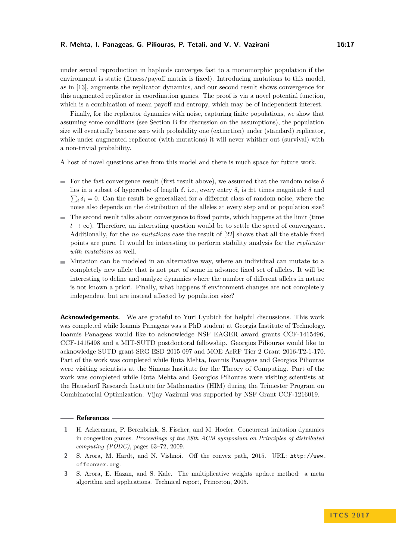under sexual reproduction in haploids converges fast to a monomorphic population if the environment is static (fitness/payoff matrix is fixed). Introducing mutations to this model, as in [\[13\]](#page-17-4), augments the replicator dynamics, and our second result shows convergence for this augmented replicator in coordination games. The proof is via a novel potential function, which is a combination of mean payoff and entropy, which may be of independent interest.

Finally, for the replicator dynamics with noise, capturing finite populations, we show that assuming some conditions (see Section [B](#page-19-0) for discussion on the assumptions), the population size will eventually become zero with probability one (extinction) under (standard) replicator, while under augmented replicator (with mutations) it will never whither out (survival) with a non-trivial probability.

A host of novel questions arise from this model and there is much space for future work.

- For the fast convergence result (first result above), we assumed that the random noise  $\delta$ lies in a subset of hypercube of length  $\delta$ , i.e., every entry  $\delta_i$  is  $\pm 1$  times magnitude  $\delta$  and  $\sum_i \delta_i = 0$ . Can the result be generalized for a different class of random noise, where the noise also depends on the distribution of the alleles at every step and or population size?
- $\blacksquare$  The second result talks about convergence to fixed points, which happens at the limit (time  $t \to \infty$ ). Therefore, an interesting question would be to settle the speed of convergence. Additionally, for the *no mutations* case the result of [\[22\]](#page-17-2) shows that all the stable fixed points are pure. It would be interesting to perform stability analysis for the *replicator with mutations* as well.
- Mutation can be modeled in an alternative way, where an individual can mutate to a completely new allele that is not part of some in advance fixed set of alleles. It will be interesting to define and analyze dynamics where the number of different alleles in nature is not known a priori. Finally, what happens if environment changes are not completely independent but are instead affected by population size?

**Acknowledgements.** We are grateful to Yuri Lyubich for helpful discussions. This work was completed while Ioannis Panageas was a PhD student at Georgia Institute of Technology. Ioannis Panageas would like to acknowledge NSF EAGER award grants CCF-1415496, CCF-1415498 and a MIT-SUTD postdoctoral fellowship. Georgios Piliouras would like to acknowledge SUTD grant SRG ESD 2015 097 and MOE AcRF Tier 2 Grant 2016-T2-1-170. Part of the work was completed while Ruta Mehta, Ioannis Panageas and Georgios Piliouras were visiting scientists at the Simons Institute for the Theory of Computing. Part of the work was completed while Ruta Mehta and Georgios Piliouras were visiting scientists at the Hausdorff Research Institute for Mathematics (HIM) during the Trimester Program on Combinatorial Optimization. Vijay Vazirani was supported by NSF Grant CCF-1216019.

#### **References**

<span id="page-16-2"></span>**<sup>1</sup>** H. Ackermann, P. Berenbrink, S. Fischer, and M. Hoefer. Concurrent imitation dynamics in congestion games. *Proceedings of the 28th ACM symposium on Principles of distributed computing (PODC)*, pages 63–72, 2009.

<span id="page-16-1"></span>**<sup>2</sup>** S. Arora, M. Hardt, and N. Vishnoi. Off the convex path, 2015. URL: [http://www.](http://www.offconvex.org) [offconvex.org](http://www.offconvex.org).

<span id="page-16-0"></span>**<sup>3</sup>** S. Arora, E. Hazan, and S. Kale. The multiplicative weights update method: a meta algorithm and applications. Technical report, Princeton, 2005.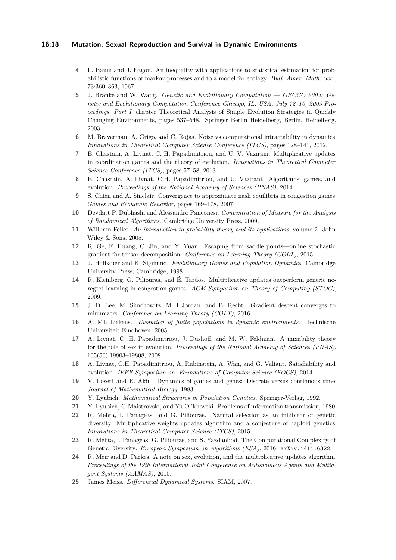#### **16:18 Mutation, Sexual Reproduction and Survival in Dynamic Environments**

- <span id="page-17-9"></span>**4** L. Baum and J. Eagon. An inequality with applications to statistical estimation for probabilistic functions of markov processes and to a model for ecology. *Bull. Amer. Math. Soc.*, 73:360–363, 1967.
- <span id="page-17-16"></span>**5** J. Branke and W. Wang. *Genetic and Evolutionary Computation — GECCO 2003: Genetic and Evolutionary Computation Conference Chicago, IL, USA, July 12–16, 2003 Proceedings, Part I*, chapter Theoretical Analysis of Simple Evolution Strategies in Quickly Changing Environments, pages 537–548. Springer Berlin Heidelberg, Berlin, Heidelberg, 2003.
- <span id="page-17-12"></span>**6** M. Braverman, A. Grigo, and C. Rojas. Noise vs computational intractability in dynamics. *Innovations in Theoretical Computer Science Conference (ITCS)*, pages 128–141, 2012.
- <span id="page-17-17"></span>**7** E. Chastain, A. Livnat, C. H. Papadimitriou, and U. V. Vazirani. Multiplicative updates in coordination games and the theory of evolution. *Innovations in Theoretical Computer Science Conference (ITCS)*, pages 57–58, 2013.
- <span id="page-17-0"></span>**8** E. Chastain, A. Livnat, C.H. Papadimitriou, and U. Vazirani. Algorithms, games, and evolution. *Proceedings of the National Academy of Sciences (PNAS)*, 2014.
- <span id="page-17-13"></span>**9** S. Chien and A. Sinclair. Convergence to approximate nash equilibria in congestion games. *Games and Economic Behavior*, pages 169–178, 2007.
- <span id="page-17-19"></span>**10** Devdatt P. Dubhashi and Alessandro Panconesi. *Concentration of Measure for the Analysis of Randomized Algorithms*. Cambridge University Press, 2009.
- <span id="page-17-20"></span>**11** Willliam Feller. *An introduction to probability theory and its applications*, volume 2. John Wiley & Sons, 2008.
- <span id="page-17-5"></span>**12** R. Ge, F. Huang, C. Jin, and Y. Yuan. Escaping from saddle points—online stochastic gradient for tensor decomposition. *Conference on Learning Theory (COLT)*, 2015.
- <span id="page-17-4"></span>**13** J. Hofbauer and K. Sigmund. *Evolutionary Games and Population Dynamics*. Cambridge University Press, Cambridge, 1998.
- <span id="page-17-6"></span>**14** R. Kleinberg, G. Piliouras, and É. Tardos. Multiplicative updates outperform generic noregret learning in congestion games. *ACM Symposium on Theory of Computing (STOC)*, 2009.
- <span id="page-17-14"></span>**15** J. D. Lee, M. Simchowitz, M. I Jordan, and B. Recht. Gradient descent converges to minimizers. *Conference on Learning Theory (COLT)*, 2016.
- <span id="page-17-15"></span>**16** A. ML Liekens. *Evolution of finite populations in dynamic environments*. Technische Universiteit Eindhoven, 2005.
- <span id="page-17-10"></span>**17** A. Livnat, C. H. Papadimitriou, J. Dushoff, and M. W. Feldman. A mixability theory for the role of sex in evolution. *Proceedings of the National Academy of Sciences (PNAS)*, 105(50):19803–19808, 2008.
- <span id="page-17-1"></span>**18** A. Livnat, C.H. Papadimitriou, A. Rubinstein, A. Wan, and G. Valiant. Satisfiability and evolution. *IEEE Symposium on. Foundations of Computer Science (FOCS)*, 2014.
- <span id="page-17-8"></span>**19** V. Losert and E. Akin. Dynamics of games and genes: Discrete versus continuous time. *Journal of Mathematical Biology*, 1983.
- <span id="page-17-21"></span>**20** Y. Lyubich. *Mathematical Structures in Population Genetics*. Springer-Verlag, 1992.
- <span id="page-17-7"></span>**21** Y. Lyubich, G.Maistrovski, and Yu.Ol'khovski. Problems of information transmission, 1980.
- <span id="page-17-2"></span>**22** R. Mehta, I. Panageas, and G. Piliouras. Natural selection as an inhibitor of genetic diversity: Multiplicative weights updates algorithm and a conjecture of haploid genetics. *Innovations in Theoretical Computer Science (ITCS)*, 2015.
- <span id="page-17-11"></span>**23** R. Mehta, I. Panageas, G. Piliouras, and S. Yazdanbod. The Computational Complexity of Genetic Diversity. *European Symposium on Algorithms (ESA)*, 2016. [arXiv:1411.6322](http://arxiv.org/abs/1411.6322).
- <span id="page-17-3"></span>**24** R. Meir and D. Parkes. A note on sex, evolution, and the multiplicative updates algorithm. *Proceedings of the 12th International Joint Conference on Autonomous Agents and Multiagent Systems (AAMAS)*, 2015.
- <span id="page-17-18"></span>**25** James Meiss. *Differential Dynamical Systems*. SIAM, 2007.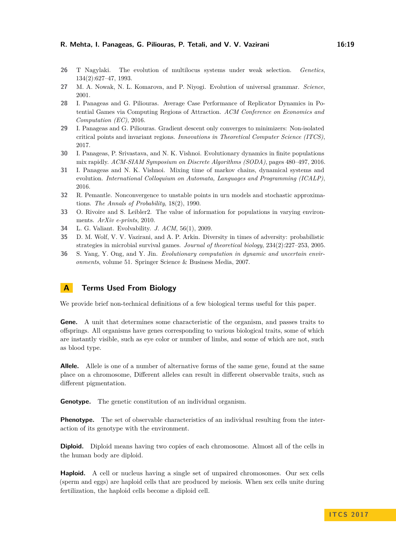- <span id="page-18-4"></span>**26** T Nagylaki. The evolution of multilocus systems under weak selection. *Genetics*, 134(2):627–47, 1993.
- <span id="page-18-9"></span>**27** M. A. Nowak, N. L. Komarova, and P. Niyogi. Evolution of universal grammar. *Science*, 2001.
- <span id="page-18-6"></span>**28** I. Panageas and G. Piliouras. Average Case Performance of Replicator Dynamics in Potential Games via Computing Regions of Attraction. *ACM Conference on Economics and Computation (EC)*, 2016.
- <span id="page-18-7"></span>**29** I. Panageas and G. Piliouras. Gradient descent only converges to minimizers: Non-isolated critical points and invariant regions. *Innovations in Theoretical Computer Science (ITCS)*, 2017.
- <span id="page-18-2"></span>**30** I. Panageas, P. Srivastava, and N. K. Vishnoi. Evolutionary dynamics in finite populations mix rapidly. *ACM-SIAM Symposium on Discrete Algorithms (SODA)*, pages 480–497, 2016.
- <span id="page-18-3"></span>**31** I. Panageas and N. K. Vishnoi. Mixing time of markov chains, dynamical systems and evolution. *International Colloquium on Automata, Languages and Programming (ICALP)*, 2016.
- <span id="page-18-5"></span>**32** R. Pemantle. Nonconvergence to unstable points in urn models and stochastic approximations. *The Annals of Probability*, 18(2), 1990.
- <span id="page-18-11"></span>**33** O. Rivoire and S. Leibler2. The value of information for populations in varying environments. *ArXiv e-prints*, 2010.
- <span id="page-18-0"></span>**34** L. G. Valiant. Evolvability. *J. ACM*, 56(1), 2009.
- <span id="page-18-1"></span>**35** D. M. Wolf, V. V. Vazirani, and A. P. Arkin. Diversity in times of adversity: probabilistic strategies in microbial survival games. *Journal of theoretical biology*, 234(2):227–253, 2005.
- <span id="page-18-8"></span>**36** S. Yang, Y. Ong, and Y. Jin. *Evolutionary computation in dynamic and uncertain environments*, volume 51. Springer Science & Business Media, 2007.

# <span id="page-18-10"></span>**A Terms Used From Biology**

We provide brief non-technical definitions of a few biological terms useful for this paper.

**Gene.** A unit that determines some characteristic of the organism, and passes traits to offsprings. All organisms have genes corresponding to various biological traits, some of which are instantly visible, such as eye color or number of limbs, and some of which are not, such as blood type.

**Allele.** Allele is one of a number of alternative forms of the same gene, found at the same place on a chromosome, Different alleles can result in different observable traits, such as different pigmentation.

**Genotype.** The genetic constitution of an individual organism.

**Phenotype.** The set of observable characteristics of an individual resulting from the interaction of its genotype with the environment.

**Diploid.** Diploid means having two copies of each chromosome. Almost all of the cells in the human body are diploid.

**Haploid.** A cell or nucleus having a single set of unpaired chromosomes. Our sex cells (sperm and eggs) are haploid cells that are produced by meiosis. When sex cells unite during fertilization, the haploid cells become a diploid cell.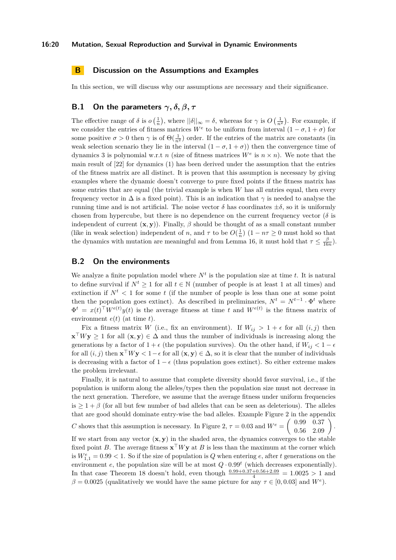# <span id="page-19-0"></span>**B Discussion on the Assumptions and Examples**

In this section, we will discuss why our assumptions are necessary and their significance.

# **B.1 On the parameters** *γ, δ, β, τ*

The effective range of  $\delta$  is  $o\left(\frac{1}{n}\right)$ , where  $||\delta||_{\infty} = \delta$ , whereas for  $\gamma$  is  $O\left(\frac{1}{n^2}\right)$ . For example, if we consider the entries of fitness matrices  $W^e$  to be uniform from interval  $(1 - \sigma, 1 + \sigma)$  for some positive  $\sigma > 0$  then  $\gamma$  is of  $\Theta(\frac{1}{n^2})$  order. If the entries of the matrix are constants (in weak selection scenario they lie in the interval  $(1 - \sigma, 1 + \sigma)$  then the convergence time of dynamics [3](#page-6-4) is polynomial w.r.t *n* (size of fitness matrices  $W^e$  is  $n \times n$ ). We note that the main result of [\[22\]](#page-17-2) for dynamics [\(1\)](#page-5-1) has been derived under the assumption that the entries of the fitness matrix are all distinct. It is proven that this assumption is necessary by giving examples where the dynamic doesn't converge to pure fixed points if the fitness matrix has some entries that are equal (the trivial example is when *W* has all entries equal, then every frequency vector in  $\Delta$  is a fixed point). This is an indication that  $\gamma$  is needed to analyse the running time and is not artificial. The noise vector *δ* has coordinates ±*δ*, so it is uniformly chosen from hypercube, but there is no dependence on the current frequency vector ( $\delta$  is independent of current  $(\mathbf{x}, \mathbf{y})$ . Finally,  $\beta$  should be thought of as a small constant number (like in weak selection) independent of *n*, and  $\tau$  to be  $O(\frac{1}{n})$  (1 –  $n\tau \ge 0$  must hold so that the dynamics with mutation are meaningful and from Lemma [16,](#page-14-1) it must hold that  $\tau \leq \frac{\beta}{16n}$ ).

### <span id="page-19-1"></span>**B.2 On the environments**

We analyze a finite population model where  $N<sup>t</sup>$  is the population size at time  $t$ . It is natural to define survival if  $N^t \geq 1$  for all  $t \in \mathbb{N}$  (number of people is at least 1 at all times) and extinction if  $N^t$  < 1 for some *t* (if the number of people is less than one at some point then the population goes extinct). As described in preliminaries,  $N^t = N^{t-1} \cdot \Phi^t$  where  $\Phi^t = x(t)$ <sup>T</sup> $W^{e(t)}y(t)$  is the average fitness at time *t* and  $W^{e(t)}$  is the fitness matrix of environment *e*(*t*) (at time *t*).

Fix a fitness matrix *W* (i.e., fix an environment). If  $W_{ij} > 1 + \epsilon$  for all  $(i, j)$  then  $\mathbf{x}^{\top} W \mathbf{y} \geq 1$  for all  $(\mathbf{x}, \mathbf{y}) \in \Delta$  and thus the number of individuals is increasing along the generations by a factor of  $1 + \epsilon$  (the population survives). On the other hand, if  $W_{ij} < 1 - \epsilon$ for all  $(i, j)$  then  $\mathbf{x}^\top W \mathbf{y} < 1 - \epsilon$  for all  $(\mathbf{x}, \mathbf{y}) \in \Delta$ , so it is clear that the number of individuals is decreasing with a factor of  $1 - \epsilon$  (thus population goes extinct). So either extreme makes the problem irrelevant.

Finally, it is natural to assume that complete diversity should favor survival, i.e., if the population is uniform along the alleles/types then the population size must not decrease in the next generation. Therefore, we assume that the average fitness under uniform frequencies is  $\geq 1 + \beta$  (for all but few number of bad alleles that can be seen as deleterious). The alleles that are good should dominate entry-wise the bad alleles. Example Figure [2](#page-27-1) in the appendix *C* shows that this assumption is necessary. In Figure [2,](#page-27-1)  $\tau = 0.03$  and  $W_e = \begin{pmatrix} 0.99 & 0.37 \\ 0.56 & 2.09 \end{pmatrix}$ *.* If we start from any vector  $(x, y)$  in the shaded area, the dynamics converges to the stable fixed point *B*. The average fitness  $\mathbf{x}^{\top} W \mathbf{y}$  at *B* is less than the maximum at the corner which is  $W_{1,1}^e = 0.99 < 1$ . So if the size of population is *Q* when entering *e*, after *t* generations on the environment *e*, the population size will be at most  $Q \cdot 0.99^t$  (which decreases exponentially). In that case Theorem [18](#page-14-3) doesn't hold, even though  $\frac{0.99 + 0.37 + 0.56 + 2.09}{4} = 1.0025 > 1$  and  $\beta = 0.0025$  (qualitatively we would have the same picture for any  $\tau \in [0, 0.03]$  and  $W^e$ ).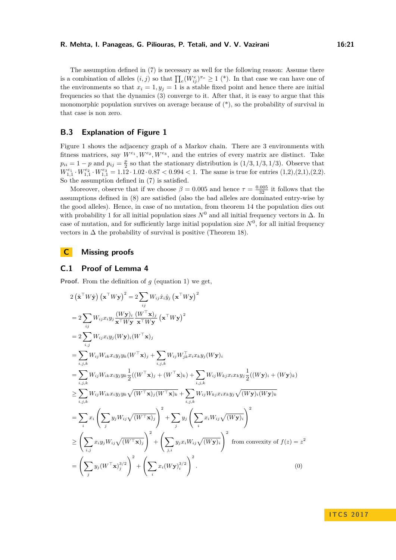The assumption defined in [\(7\)](#page-12-2) is necessary as well for the following reason: Assume there is a combination of alleles  $(i, j)$  so that  $\prod_e (W_{ij}^e)^{\pi_e} \geq 1$  (\*). In that case we can have one of the environments so that  $x_i = 1, y_j = 1$  is a stable fixed point and hence there are initial frequencies so that the dynamics [\(3\)](#page-6-4) converge to it. After that, it is easy to argue that this monomorphic population survives on average because of (\*), so the probability of survival in that case is non zero.

### **B.3 Explanation of Figure [1](#page-3-1)**

Figure [1](#page-3-1) shows the adjacency graph of a Markov chain. There are 3 environments with fitness matrices, say  $W^{e_1}, W^{e_2}, W^{e_3}$ , and the entries of every matrix are distinct. Take  $p_{ii} = 1 - p$  and  $p_{ij} = \frac{p}{2}$  so that the stationary distribution is (1/3*,* 1/3*,* 1/3*)*. Observe that  $W_{1,1}^{e_1} \cdot W_{1,1}^{e_2} \cdot W_{1,1}^{e_3} = 1.12 \cdot 1.02 \cdot 0.87 < 0.994 < 1$ . The same is true for entries  $(1,2),(2,1),(2,2)$ . So the assumption defined in [\(7\)](#page-12-2) is satisfied.

Moreover, observe that if we choose  $\beta = 0.005$  and hence  $\tau = \frac{0.005}{32}$  it follows that the assumptions defined in [\(8\)](#page-13-0) are satisfied (also the bad alleles are dominated entry-wise by the good alleles). Hence, in case of no mutation, from theorem [14](#page-12-1) the population dies out with probability 1 for all initial population sizes  $N^0$  and all initial frequency vectors in  $\Delta$ . In case of mutation, and for sufficiently large initial population size  $N^0$ , for all initial frequency vectors in  $\Delta$  the probability of survival is positive (Theorem [18\)](#page-14-3).

# **C Missing proofs**

#### **C.1 Proof of Lemma [4](#page-10-1)**

**Proof.** From the definition of *g* (equation [1\)](#page-5-1) we get,

$$
2\left(\mathbf{\hat{x}}^{\top}W\hat{\mathbf{y}}\right)\left(\mathbf{x}^{\top}W\mathbf{y}\right)^{2} = 2\sum_{ij} W_{ij}\hat{x}_{i}\hat{y}_{j}\left(\mathbf{x}^{\top}W\mathbf{y}\right)^{2}
$$
  
\n
$$
= 2\sum_{ij} W_{ij}x_{i}y_{j}\frac{(W\mathbf{y})_{i}}{\mathbf{x}^{\top}W\mathbf{y}}\frac{(W^{\top}\mathbf{x})_{j}}{\mathbf{x}^{\top}W\mathbf{y}}\left(\mathbf{x}^{\top}W\mathbf{y}\right)^{2}
$$
  
\n
$$
= 2\sum_{i,j} W_{ij}x_{i}y_{j}(W\mathbf{y})_{i}(W^{\top}\mathbf{x})_{j}
$$
  
\n
$$
= \sum_{i,j,k} W_{ij}W_{ik}x_{i}y_{j}y_{k}(W^{\top}\mathbf{x})_{j} + \sum_{i,j,k} W_{ij}W_{jk}^{T}x_{i}x_{k}y_{j}(W\mathbf{y})_{i}
$$
  
\n
$$
= \sum_{i,j,k} W_{ij}W_{ik}x_{i}y_{j}y_{k}\frac{1}{2}((W^{\top}\mathbf{x})_{j} + (W^{\top}\mathbf{x})_{k}) + \sum_{i,j,k} W_{ij}W_{kj}x_{i}x_{k}y_{j}\frac{1}{2}((W\mathbf{y})_{i} + (W\mathbf{y})_{k})
$$
  
\n
$$
\geq \sum_{i,j,k} W_{ij}W_{ik}x_{i}y_{j}y_{k}\sqrt{(W^{\top}\mathbf{x})_{j}(W^{\top}\mathbf{x})_{k}} + \sum_{i,j,k} W_{ij}W_{kj}x_{i}x_{k}y_{j}\sqrt{(W\mathbf{y})_{i}(W\mathbf{y})_{k}}
$$
  
\n
$$
= \sum_{i} x_{i}\left(\sum_{j} y_{j}W_{ij}\sqrt{(W^{\top}\mathbf{x})_{j}}\right)^{2} + \sum_{j} y_{j}\left(\sum_{i} x_{i}W_{ij}\sqrt{(W\mathbf{y})_{i}}\right)^{2}
$$
from convexity of  $f(z) = z^{2}$   
\n
$$
= \left(\sum_{j} y_{j}(W^{\top}\mathbf{x})_{j}^{3/2}\right)^{2} + \left
$$

**I T C S 2 0 1 7**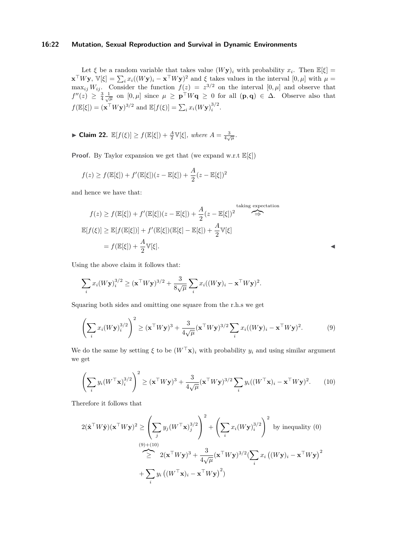### **16:22 Mutation, Sexual Reproduction and Survival in Dynamic Environments**

Let  $\xi$  be a random variable that takes value  $(Wy)_i$  with probability  $x_i$ . Then  $\mathbb{E}[\xi] =$  $\mathbf{x}^{\top} W \mathbf{y}, \ \mathbb{V}[\xi] = \sum_i x_i ((W \mathbf{y})_i - \mathbf{x}^{\top} W \mathbf{y})^2$  and  $\xi$  takes values in the interval  $[0, \mu]$  with  $\mu =$  $\max_{ij} W_{ij}$ . Consider the function  $f(z) = z^{3/2}$  on the interval  $[0, \mu]$  and observe that  $f''(z) \geq \frac{3}{4} \frac{1}{\sqrt{\mu}}$  on  $[0, \mu]$  since  $\mu \geq p^{\top}Wq \geq 0$  for all  $(p, q) \in \Delta$ . Observe also that  $f(\mathbb{E}[\xi]) = (\mathbf{x}^\top W \mathbf{y})^{3/2}$  and  $\mathbb{E}[f(\xi)] = \sum_i x_i (W \mathbf{y})_i^{3/2}$ .

▶ Claim 22. 
$$
\mathbb{E}[f(\xi)] \ge f(\mathbb{E}[\xi]) + \frac{A}{2}\mathbb{V}[\xi],
$$
 where  $A = \frac{3}{4\sqrt{\mu}}$ .

**Proof.** By Taylor expansion we get that (we expand w.r.t E[*ξ*])

$$
f(z) \ge f(\mathbb{E}[\xi]) + f'(\mathbb{E}[\xi])(z - \mathbb{E}[\xi]) + \frac{A}{2}(z - \mathbb{E}[\xi])^2
$$

and hence we have that:

$$
f(z) \ge f(\mathbb{E}[\xi]) + f'(\mathbb{E}[\xi])(z - \mathbb{E}[\xi]) + \frac{A}{2}(z - \mathbb{E}[\xi])^2 \implies
$$
  

$$
\mathbb{E}[f(\xi)] \ge \mathbb{E}[f(\mathbb{E}[\xi])] + f'(\mathbb{E}[\xi])(\mathbb{E}[\xi] - \mathbb{E}[\xi]) + \frac{A}{2}\mathbb{V}[\xi]
$$
  

$$
= f(\mathbb{E}[\xi]) + \frac{A}{2}\mathbb{V}[\xi].
$$

Using the above claim it follows that:

$$
\sum_{i} x_i (W \mathbf{y})_i^{3/2} \ge (\mathbf{x}^\top W \mathbf{y})^{3/2} + \frac{3}{8\sqrt{\mu}} \sum_{i} x_i ((W \mathbf{y})_i - \mathbf{x}^\top W \mathbf{y})^2.
$$

Squaring both sides and omitting one square from the r.h.s we get

$$
\left(\sum_{i} x_i (W\mathbf{y})_i^{3/2}\right)^2 \geq (\mathbf{x}^\top W\mathbf{y})^3 + \frac{3}{4\sqrt{\mu}} (\mathbf{x}^\top W\mathbf{y})^{3/2} \sum_{i} x_i ((W\mathbf{y})_i - \mathbf{x}^\top W\mathbf{y})^2. \tag{9}
$$

We do the same by setting  $\xi$  to be  $(W^{\top} \mathbf{x})_i$  with probability  $y_i$  and using similar argument we get

$$
\left(\sum_{i} y_i (W^{\top} \mathbf{x})_i^{3/2}\right)^2 \geq (\mathbf{x}^{\top} W \mathbf{y})^3 + \frac{3}{4\sqrt{\mu}} (\mathbf{x}^{\top} W \mathbf{y})^{3/2} \sum_{i} y_i ((W^{\top} \mathbf{x})_i - \mathbf{x}^{\top} W \mathbf{y})^2. \tag{10}
$$

Therefore it follows that

$$
2(\hat{\mathbf{x}}^{\top}W\hat{\mathbf{y}})(\mathbf{x}^{\top}W\mathbf{y})^{2} \geq \left(\sum_{j} y_{j}(W^{\top}\mathbf{x})_{j}^{3/2}\right)^{2} + \left(\sum_{i} x_{i}(W\mathbf{y})_{i}^{3/2}\right)^{2} \text{ by inequality (0)}
$$
  

$$
\geq 2(\mathbf{x}^{\top}W\mathbf{y})^{3} + \frac{3}{4\sqrt{\mu}}(\mathbf{x}^{\top}W\mathbf{y})^{3/2}(\sum_{i} x_{i} ((W\mathbf{y})_{i} - \mathbf{x}^{\top}W\mathbf{y})^{2}
$$

$$
+ \sum_{i} y_{i} ((W^{\top}\mathbf{x})_{i} - \mathbf{x}^{\top}W\mathbf{y})^{2})
$$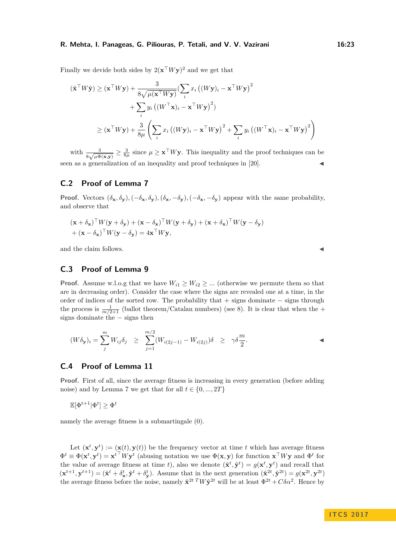Finally we devide both sides by  $2(\mathbf{x}^{\top}W\mathbf{y})^2$  and we get that

$$
(\hat{\mathbf{x}}^{\top}W\hat{\mathbf{y}}) \geq (\mathbf{x}^{\top}W\mathbf{y}) + \frac{3}{8\sqrt{\mu(\mathbf{x}^{\top}W\mathbf{y})}} (\sum_{i} x_i ((W\mathbf{y})_i - \mathbf{x}^{\top}W\mathbf{y})^2 + \sum_{i} y_i ((W^{\top}\mathbf{x})_i - \mathbf{x}^{\top}W\mathbf{y})^2) \geq (\mathbf{x}^{\top}W\mathbf{y}) + \frac{3}{8\mu} \left( \sum_{i} x_i ((W\mathbf{y})_i - \mathbf{x}^{\top}W\mathbf{y})^2 + \sum_{i} y_i ((W^{\top}\mathbf{x})_i - \mathbf{x}^{\top}W\mathbf{y})^2 \right)
$$

with  $\frac{3}{8\sqrt{\mu\Phi(\mathbf{x},\mathbf{y})}} \geq \frac{3}{8\mu}$  since  $\mu \geq \mathbf{x}^{\top}W\mathbf{y}$ . This inequality and the proof techniques can be seen as a generalization of an inequality and proof techniques in  $[20]$ .

# **C.2 Proof of Lemma [7](#page-11-0)**

**Proof.** Vectors  $(\delta_{\mathbf{x}}, \delta_{\mathbf{y}}), (-\delta_{\mathbf{x}}, \delta_{\mathbf{y}}), (\delta_{\mathbf{x}}, -\delta_{\mathbf{y}}), (-\delta_{\mathbf{x}}, -\delta_{\mathbf{y}})$  appear with the same probability, and observe that

$$
(\mathbf{x} + \delta_{\mathbf{x}})^{\top} W(\mathbf{y} + \delta_{\mathbf{y}}) + (\mathbf{x} - \delta_{\mathbf{x}})^{\top} W(\mathbf{y} + \delta_{\mathbf{y}}) + (\mathbf{x} + \delta_{\mathbf{x}})^{\top} W(\mathbf{y} - \delta_{\mathbf{y}})
$$
  
+  $(\mathbf{x} - \delta_{\mathbf{x}})^{\top} W(\mathbf{y} - \delta_{\mathbf{y}}) = 4\mathbf{x}^{\top} W \mathbf{y},$ 

and the claim follows.

# **C.3 Proof of Lemma [9](#page-11-5)**

**Proof.** Assume w.l.o.g that we have  $W_{i1} \geq W_{i2} \geq ...$  (otherwise we permute them so that are in decreasing order). Consider the case where the signs are revealed one at a time, in the order of indices of the sorted row. The probability that + signs dominate − signs through the process is  $\frac{1}{m/2+1}$  (ballot theorem/Catalan numbers) (see [8\)](#page-11-3). It is clear that when the + signs dominate the − signs then

$$
(W\delta_{\mathbf{y}})_i = \sum_j^m W_{ij}\delta_j \geq \sum_{j=1}^{m/2} (W_{i(2j-1)} - W_{i(2j)})\delta \geq \gamma \delta \frac{m}{2}.
$$

### **C.4 Proof of Lemma [11](#page-11-1)**

**Proof.** First of all, since the average fitness is increasing in every generation (before adding noise) and by Lemma [7](#page-11-0) we get that for all  $t \in \{0, ..., 2T\}$ 

 $\mathbb{E}[\Phi^{t+1}|\Phi^t] \geq \Phi^t$ 

namely the average fitness is a submartingale (0).

Let  $(\mathbf{x}^t, \mathbf{y}^t) := (\mathbf{x}(t), \mathbf{y}(t))$  be the frequency vector at time *t* which has average fitness  $\Phi^t \equiv \Phi(\mathbf{x}^t, \mathbf{y}^t) = \mathbf{x}^{t\top} W \mathbf{y}^t$  (abusing notation we use  $\Phi(\mathbf{x}, \mathbf{y})$  for function  $\mathbf{x}^T W \mathbf{y}$  and  $\Phi^t$  for the value of average fitness at time t, also we denote  $(\hat{\mathbf{x}}^t, \hat{\mathbf{y}}^t) = g(\mathbf{x}^t, \mathbf{y}^t)$  and recall that  $(\mathbf{x}^{t+1}, \mathbf{y}^{t+1}) = (\hat{\mathbf{x}}^t + \delta_{\mathbf{x}}^t, \hat{\mathbf{y}}^t + \delta_{\mathbf{y}}^t).$  Assume that in the next generation  $(\hat{\mathbf{x}}^{2t}, \hat{\mathbf{y}}^{2t}) = g(\mathbf{x}^{2t}, \mathbf{y}^{2t})$ the average fitness before the noise, namely  $\hat{\mathbf{x}}^{2t}$ <sup>T</sup> *W* $\hat{\mathbf{y}}^{2t}$  will be at least  $\Phi^{2t} + C\delta\alpha^2$ . Hence by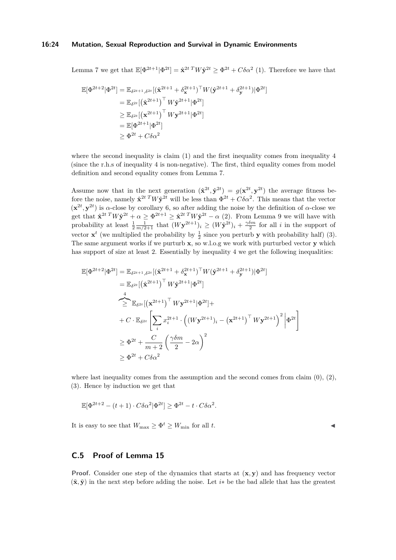Lemma [7](#page-11-0) we get that  $\mathbb{E}[\Phi^{2t+1}|\Phi^{2t}] = \hat{\mathbf{x}}^{2t}{}^T W \hat{\mathbf{y}}^{2t} \geq \Phi^{2t} + C \delta \alpha^2$  (1). Therefore we have that

$$
\mathbb{E}[\Phi^{2t+2}|\Phi^{2t}] = \mathbb{E}_{\delta^{2t+1},\delta^{2t}}[(\hat{\mathbf{x}}^{2t+1} + \delta_{\mathbf{x}}^{2t+1})^{\top}W(\hat{\mathbf{y}}^{2t+1} + \delta_{\mathbf{y}}^{2t+1})|\Phi^{2t}] \n= \mathbb{E}_{\delta^{2t}}[(\hat{\mathbf{x}}^{2t+1})^{\top}W\hat{\mathbf{y}}^{2t+1}|\Phi^{2t}] \n\geq \mathbb{E}_{\delta^{2t}}[(\mathbf{x}^{2t+1})^{\top}W\mathbf{y}^{2t+1}|\Phi^{2t}] \n= \mathbb{E}[\Phi^{2t+1}|\Phi^{2t}] \n\geq \Phi^{2t} + C\delta\alpha^2
$$

where the second inequality is claim  $(1)$  and the first inequality comes from inequality [4](#page-10-1) (since the r.h.s of inequality [4](#page-10-1) is non-negative). The first, third equality comes from model definition and second equality comes from Lemma [7.](#page-11-0)

Assume now that in the next generation  $(\hat{\mathbf{x}}^{2t}, \hat{\mathbf{y}}^{2t}) = g(\mathbf{x}^{2t}, \mathbf{y}^{2t})$  the average fitness before the noise, namely  $\hat{\mathbf{x}}^{2t}$ <sup>T</sup> *W* $\hat{\mathbf{y}}^{2t}$  will be less than  $\Phi^{2t}$  +  $C\delta\alpha^2$ . This means that the vector  $(\mathbf{x}^{2t}, \mathbf{y}^{2t})$  is *α*-close by corollary [6,](#page-10-2) so after adding the noise by the definition of *α*-close we get that  $\hat{\mathbf{x}}^{2t}{}^{T}W\hat{\mathbf{y}}^{2t} + \alpha \geq \Phi^{2t+1} \geq \hat{\mathbf{x}}^{2t}{}^{T}W\hat{\mathbf{y}}^{2t} - \alpha$  (2). From Lemma [9](#page-11-5) we will have with probability at least  $\frac{1}{2} \frac{1}{m/2+1}$  that  $(Wy^{2t+1})_i \geq (W\hat{y}^{2t})_i + \frac{\gamma \delta m}{2}$  for all *i* in the support of vector  $\mathbf{x}^t$  (we multiplied the probability by  $\frac{1}{2}$  since you perturb **y** with probability half) (3). The same argument works if we purturb **x**, so w.l.o.g we work with purturbed vector **y** which has support of size at least 2. Essentially by inequality [4](#page-10-1) we get the following inequalities:

$$
\mathbb{E}[\Phi^{2t+2}|\Phi^{2t}] = \mathbb{E}_{\delta^{2t+1},\delta^{2t}}[(\hat{\mathbf{x}}^{2t+1} + \delta_{\mathbf{x}}^{2t+1})^{\top}W(\hat{\mathbf{y}}^{2t+1} + \delta_{\mathbf{y}}^{2t+1})|\Phi^{2t}]
$$
\n
$$
= \mathbb{E}_{\delta^{2t}}[(\hat{\mathbf{x}}^{2t+1})^{\top}W\hat{\mathbf{y}}^{2t+1}|\Phi^{2t}]
$$
\n
$$
\geq \mathbb{E}_{\delta^{2t}}[(\mathbf{x}^{2t+1})^{\top}W\mathbf{y}^{2t+1}|\Phi^{2t}] + C \cdot \mathbb{E}_{\delta^{2t}}\left[\sum_{i} x_{i}^{2t+1} \cdot \left((W\mathbf{y}^{2t+1})_{i} - (\mathbf{x}^{2t+1})^{\top}W\mathbf{y}^{2t+1}\right)^{2}\right]\Phi^{2t}
$$
\n
$$
\geq \Phi^{2t} + \frac{C}{m+2}\left(\frac{\gamma\delta m}{2} - 2\alpha\right)^{2}
$$
\n
$$
\geq \Phi^{2t} + C\delta\alpha^{2}
$$

where last inequality comes from the assumption and the second comes from claim  $(0)$ ,  $(2)$ , (3). Hence by induction we get that

$$
\mathbb{E}[\Phi^{2t+2} - (t+1) \cdot C\delta\alpha^2 | \Phi^{2t}] \ge \Phi^{2t} - t \cdot C\delta\alpha^2.
$$

It is easy to see that  $W_{\text{max}} \geq \Phi^t \geq W_{\text{min}}$  for all *t*.

1

# **C.5 Proof of Lemma [15](#page-14-0)**

**Proof.** Consider one step of the dynamics that starts at  $(\mathbf{x}, \mathbf{y})$  and has frequency vector  $(\tilde{\mathbf{x}}, \tilde{\mathbf{y}})$  in the next step before adding the noise. Let *i*<sup>\*</sup> be the bad allele that has the greatest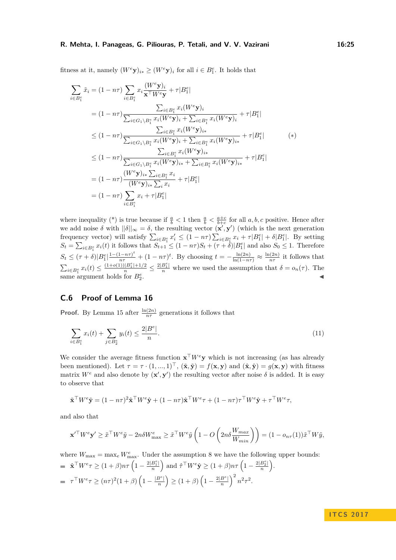fitness at it, namely  $(W<sup>e</sup>**y**)<sub>i</sub>$ <sup>*i*</sup>  $\geq$   $(W<sup>e</sup>**y**)<sub>i</sub>$  for all  $i \in B<sup>e</sup><sub>1</sub>$ . It holds that

$$
\sum_{i \in B_{1}^{e}} \tilde{x}_{i} = (1 - n\tau) \sum_{i \in B_{1}^{e}} x_{i} \frac{(W^{e} \mathbf{y})_{i}}{\mathbf{x}^{\top} W^{e} \mathbf{y}} + \tau |B_{1}^{e}|
$$
\n
$$
= (1 - n\tau) \frac{\sum_{i \in B_{1}^{e}} x_{i} (W^{e} \mathbf{y})_{i}}{\sum_{i \in G_{1} \setminus B_{1}^{e}} x_{i} (W^{e} \mathbf{y})_{i} + \sum_{i \in B_{1}^{e}} x_{i} (W^{e} \mathbf{y})_{i}} + \tau |B_{1}^{e}|
$$
\n
$$
\leq (1 - n\tau) \frac{\sum_{i \in B_{1}^{e}} x_{i} (W^{e} \mathbf{y})_{i*}}{\sum_{i \in G_{1} \setminus B_{1}^{e}} x_{i} (W^{e} \mathbf{y})_{i} + \sum_{i \in B_{1}^{e}} x_{i} (W^{e} \mathbf{y})_{i*}} + \tau |B_{1}^{e}|} \qquad (*)
$$
\n
$$
\leq (1 - n\tau) \frac{\sum_{i \in G_{1} \setminus B_{1}^{e}} x_{i} (W^{e} \mathbf{y})_{i*}}{\sum_{i \in G_{1} \setminus B_{1}^{e}} x_{i} (W^{e} \mathbf{y})_{i} + \sum_{i \in B_{1}^{e}} x_{i} (W^{e} \mathbf{y})_{i*}} + \tau |B_{1}^{e}|}
$$
\n
$$
= (1 - n\tau) \frac{(W^{e} \mathbf{y})_{i*} \sum_{i \in B_{1}^{e}} x_{i}}{(W^{e} \mathbf{y})_{i*} \sum_{i} x_{i}} + \tau |B_{1}^{e}|
$$
\n
$$
= (1 - n\tau) \sum_{i \in B_{1}^{e}} x_{i} + \tau |B_{1}^{e}|
$$

where inequality (\*) is true because if  $\frac{a}{b} < 1$  then  $\frac{a}{b} < \frac{a+c}{b+c}$  for all  $a, b, c$  positive. Hence after we add noise  $\delta$  with  $||\delta||_{\infty} = \delta$ , the resulting vector  $(\mathbf{x}', \mathbf{y}')$  (which is the next generation frequency vector) will satisfy  $\sum_{i \in B_1^e} x'_i \leq (1 - n\tau) \sum_{i \in B_1^e} x_i + \tau |B_1^e| + \delta |B_1^e|$ . By setting  $S_t = \sum_{i \in B_t^e} x_i(t)$  it follows that  $S_{t+1} \leq (1 - n\tau)S_t + (\tau + \delta)|B_1^e|$  and also  $S_0 \leq 1$ . Therefore  $S_t \leq (\tau + \delta)|B_1^e| \frac{1-(1-n\tau)^t}{n\tau} + (1-n\tau)^t$ . By choosing  $t = -\frac{\ln(2n)}{\ln(1-n\tau)} \approx \frac{\ln(2n)}{n\tau}$  $\frac{n\tau}{n\tau}$  it follows that  $\sum_{i\in B_1^e} x_i(t) \leq \frac{(1+o(1))|B_1^e|+1/2}{n} \leq \frac{2|B_1^e|}{n}$  where we used the assumption that  $\delta = o_n(\tau)$ . The same argument holds for  $B_2^e$ .

### **C.6 Proof of Lemma [16](#page-14-1)**

**Proof.** By Lemma [15](#page-14-0) after  $\frac{\ln(2n)}{n\tau}$  generations it follows that

$$
\sum_{i \in B_1^e} x_i(t) + \sum_{j \in B_2^e} y_i(t) \le \frac{2|B^e|}{n}.
$$
\n(11)

We consider the average fitness function  $\mathbf{x}^{\top}W^e\mathbf{y}$  which is not increasing (as has already been mentioned). Let  $\tau = \tau \cdot (1, ..., 1)^{\top}$ ,  $(\tilde{\mathbf{x}}, \tilde{\mathbf{y}}) = f(\mathbf{x}, \mathbf{y})$  and  $(\hat{\mathbf{x}}, \hat{\mathbf{y}}) = g(\mathbf{x}, \mathbf{y})$  with fitness matrix  $W^e$  and also denote by  $(\mathbf{x}', \mathbf{y}')$  the resulting vector after noise  $\delta$  is added. It is easy to observe that

$$
\tilde{\mathbf{x}}^{\top}W^{e}\tilde{\mathbf{y}} = (1 - n\tau)^{2}\hat{\mathbf{x}}^{\top}W^{e}\hat{\mathbf{y}} + (1 - n\tau)\hat{\mathbf{x}}^{\top}W^{e}\tau + (1 - n\tau)\tau^{\top}W^{e}\hat{\mathbf{y}} + \tau^{\top}W^{e}\tau,
$$

and also that

$$
\mathbf{x}'^{\top}W^e\mathbf{y}' \geq \tilde{x}^{\top}W^e\tilde{y} - 2n\delta W^e_{\text{max}} \geq \tilde{x}^{\top}W^e\tilde{y}\left(1 - O\left(2n\delta\frac{W_{max}}{W_{min}}\right)\right) = (1 - o_{n\tau}(1))\tilde{x}^{\top}W\tilde{y},
$$

where  $W_{\text{max}} = \max_{e} W_{\text{max}}^{e}$ . Under the assumption [8](#page-13-0) we have the following upper bounds:  $\hat{\mathbf{x}}^{\top}W^{e}\tau \geq (1+\beta)n\tau\left(1-\frac{2|B_{1}^{e}|}{n}\right)$  $\left(\frac{B_1^e}{n}\right)$  and  $\hat{\tau}^\top W^e \hat{\mathbf{y}} \ge (1+\beta)n\tau \left(1 - \frac{2|B_2^e|}{n}\right)$  $\frac{B_2^e|}{n}$ .

$$
= \tau^{\top} W^e \tau \geq (n\tau)^2 (1+\beta) \left(1 - \frac{|B^e|}{n}\right) \geq (1+\beta) \left(1 - \frac{2|B^e|}{n}\right)^2 n^2 \tau^2.
$$

#### **I T C S 2 0 1 7**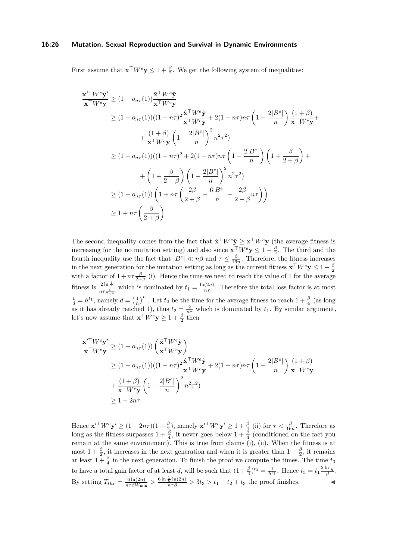#### **16:26 Mutation, Sexual Reproduction and Survival in Dynamic Environments**

First assume that  $\mathbf{x}^\top W^e \mathbf{y} \leq 1 + \frac{\beta}{2}$ . We get the following system of inequalities:

$$
\frac{\mathbf{x}'^{\top}W^{e}\mathbf{y}'}{\mathbf{x}^{\top}W^{e}\mathbf{y}} \geq (1 - o_{n\tau}(1))\frac{\tilde{\mathbf{x}}^{\top}W^{e}\tilde{\mathbf{y}}}{\mathbf{x}^{\top}W^{e}\mathbf{y}}\n\geq (1 - o_{n\tau}(1))((1 - n\tau)^{2}\frac{\tilde{\mathbf{x}}^{\top}W^{e}\hat{\mathbf{y}}}{\mathbf{x}^{\top}W^{e}\mathbf{y}} + 2(1 - n\tau)n\tau\left(1 - \frac{2|B^{e}|}{n}\right)\frac{(1 + \beta)}{\mathbf{x}^{\top}W^{e}\mathbf{y}} +\n+ \frac{(1 + \beta)}{\mathbf{x}^{\top}W^{e}\mathbf{y}}\left(1 - \frac{2|B^{e}|}{n}\right)^{2}n^{2}\tau^{2})\n\geq (1 - o_{n\tau}(1))((1 - n\tau)^{2} + 2(1 - n\tau)n\tau\left(1 - \frac{2|B^{e}|}{n}\right)\left(1 + \frac{\beta}{2 + \beta}\right) +\n+ \left(1 + \frac{\beta}{2 + \beta}\right)\left(1 - \frac{2|B^{e}|}{n}\right)^{2}n^{2}\tau^{2})\n\geq (1 - o_{n\tau}(1))\left(1 + n\tau\left(\frac{2\beta}{2 + \beta} - \frac{6|B^{e}|}{n} - \frac{2\beta}{2 + \beta}n\tau\right)\right)\n\geq 1 + n\tau\left(\frac{\beta}{2 + \beta}\right)
$$

The second inequality comes from the fact that  $\hat{\mathbf{x}}^{\top}W^e\hat{\mathbf{y}} \geq \mathbf{x}^{\top}W^e\mathbf{y}$  (the average fitness is increasing for the no mutation setting) and also since  $\mathbf{x}^{\top}W^e\mathbf{y} \leq 1 + \frac{\beta}{2}$ . The third and the fourth inequality use the fact that  $|B^e| \ll n\beta$  and  $\tau \leq \frac{\beta}{16n}$ . Therefore, the fitness increases in the next generation for the mutation setting as long as the current fitness  $\mathbf{x}^\top W^e \mathbf{y} \le 1 + \frac{\beta}{2}$ with a factor of  $1 + n\tau \frac{\beta}{2+\beta}$  (i). Hence the time we need to reach the value of 1 for the average fitness is  $\frac{2 \ln \frac{1}{h}}{n \tau \frac{\beta}{2 + \beta}}$  which is dominated by  $t_1 = \frac{\ln(2n)}{n \tau}$  $\frac{1}{d} = h^{t_1}$ , namely  $d = \left(\frac{1}{h}\right)^{t_1}$ . Let  $t_2$  be the time for the average fitness to reach  $1 + \frac{\beta}{4}$  (as long  $\frac{n\tau^{(2n)}}{n\tau}$ . Therefore the total loss factor is at most as it has already reached 1), thus  $t_2 = \frac{2}{n\tau}$  which is dominated by  $t_1$ . By similar argument, let's now assume that  $\mathbf{x}^\top W^e \mathbf{y} \ge 1 + \frac{\beta}{2}$  then

$$
\frac{\mathbf{x}'^{\top}W^e\mathbf{y}'}{\mathbf{x}^{\top}W^e\mathbf{y}} \geq (1 - o_{n\tau}(1)) \left(\frac{\tilde{\mathbf{x}}^{\top}W^e\tilde{\mathbf{y}}}{\mathbf{x}^{\top}W^e\mathbf{y}}\right)
$$
\n
$$
\geq (1 - o_{n\tau}(1))((1 - n\tau)^2 \frac{\tilde{\mathbf{x}}^{\top}W^e\hat{\mathbf{y}}}{\mathbf{x}^{\top}W^e\mathbf{y}} + 2(1 - n\tau)n\tau \left(1 - \frac{2|B^e|}{n}\right) \frac{(1 + \beta)}{\mathbf{x}^{\top}W^e\mathbf{y}}
$$
\n
$$
+ \frac{(1 + \beta)}{\mathbf{x}^{\top}W^e\mathbf{y}} \left(1 - \frac{2|B^e|}{n}\right)^2 n^2 \tau^2)
$$
\n
$$
\geq 1 - 2n\tau
$$

Hence  $\mathbf{x}'^{\top}W^e\mathbf{y}' \ge (1 - 2n\tau)(1 + \frac{\beta}{2})$ , namely  $\mathbf{x}'^{\top}W^e\mathbf{y}' \ge 1 + \frac{\beta}{4}$  (ii) for  $\tau < \frac{\beta}{16n}$ . Therefore as long as the fitness surpasses  $1 + \frac{\beta}{4}$ , it never goes below  $1 + \frac{\beta}{4}$  (conditioned on the fact you remain at the same environment). This is true from claims (i), (ii). When the fitness is at most  $1 + \frac{\beta}{2}$ , it increases in the next generation and when it is greater than  $1 + \frac{\beta}{2}$ , it remains at least  $1 + \frac{\beta}{4}$  in the next generation. To finish the proof we compute the times. The time  $t_3$ to have a total gain factor of at least *d*, will be such that  $(1 + \frac{\beta}{4})^{t_3} = \frac{1}{h^{t_1}}$ . Hence  $t_3 = t_1 \frac{2 \ln \frac{1}{h}}{\beta}$ . By setting  $T_{thr} = \frac{6 \ln(2n)}{n \tau \beta W_{mi}}$  $\frac{6 \ln(2n)}{n \tau \beta W_{\min}} > \frac{6 \ln \frac{1}{h} \ln(2n)}{n \tau \beta} > 3t_3 > t_1 + t_2 + t_3$  the proof finishes.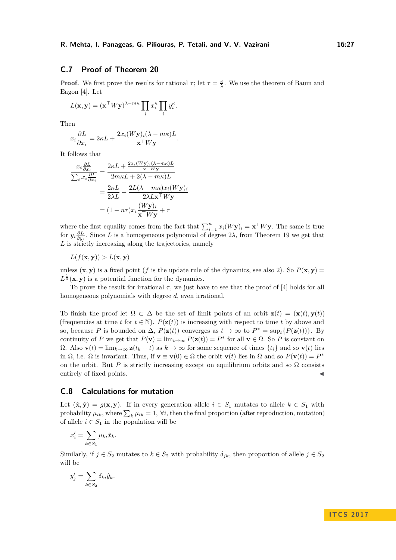# **C.7 Proof of Theorem [20](#page-15-1)**

**Proof.** We first prove the results for rational  $\tau$ ; let  $\tau = \frac{\kappa}{\lambda}$ . We use the theorem of Baum and Eagon [\[4\]](#page-17-9). Let

$$
L(\mathbf{x}, \mathbf{y}) = (\mathbf{x}^\top W \mathbf{y})^{\lambda - m\kappa} \prod_i x_i^{\kappa} \prod_i y_i^{\kappa}.
$$

Then

$$
x_i \frac{\partial L}{\partial x_i} = 2\kappa L + \frac{2x_i (W \mathbf{y})_i (\lambda - m\kappa) L}{\mathbf{x}^\top W \mathbf{y}}.
$$

It follows that

$$
\frac{x_i \frac{\partial L}{\partial x_i}}{\sum_i x_i \frac{\partial L}{\partial x_i}} = \frac{2\kappa L + \frac{2x_i (Wy)_i (\lambda - m\kappa)L}{\mathbf{x}^\top Wy}}{2m\kappa L + 2(\lambda - m\kappa)L}
$$

$$
= \frac{2\kappa L}{2\lambda L} + \frac{2L(\lambda - m\kappa)x_i (Wy)_i}{2\lambda L \mathbf{x}^\top Wy}
$$

$$
= (1 - n\tau)x_i \frac{(Wy)_i}{\mathbf{x}^\top Wy} + \tau
$$

where the first equality comes from the fact that  $\sum_{i=1}^{n} x_i(Wy)_i = \mathbf{x}^\top W \mathbf{y}$ . The same is true for  $y_i \frac{\partial L}{\partial y_i}$ . Since *L* is a homogeneous polynomial of degree 2 $\lambda$ , from Theorem [19](#page-15-2) we get that *L* is strictly increasing along the trajectories, namely

$$
L(f(\mathbf{x}, \mathbf{y})) > L(\mathbf{x}, \mathbf{y})
$$

unless  $(\mathbf{x}, \mathbf{y})$  is a fixed point (*f* is the update rule of the dynamics, see also [2\)](#page-6-0). So  $P(\mathbf{x}, \mathbf{y}) =$  $L^{\frac{1}{\kappa}}(\mathbf{x}, \mathbf{y})$  is a potential function for the dynamics.

To prove the result for irrational  $\tau$ , we just have to see that the proof of [\[4\]](#page-17-9) holds for all homogeneous polynomials with degree *d*, even irrational.

To finish the proof let  $\Omega \subset \Delta$  be the set of limit points of an orbit  $\mathbf{z}(t) = (\mathbf{x}(t), \mathbf{y}(t))$ (frequencies at time *t* for  $t \in \mathbb{N}$ ).  $P(\mathbf{z}(t))$  is increasing with respect to time *t* by above and so, because *P* is bounded on  $\Delta$ ,  $P(\mathbf{z}(t))$  converges as  $t \to \infty$  to  $P^* = \sup_t \{P(\mathbf{z}(t))\}$ . By continuity of *P* we get that  $P(\mathbf{v}) = \lim_{t \to \infty} P(\mathbf{z}(t)) = P^*$  for all  $\mathbf{v} \in \Omega$ . So *P* is constant on Ω. Also **v**(*t*) = lim*k*→∞ **z**(*t<sup>k</sup>* + *t*) as *k* → ∞ for some sequence of times {*ti*} and so **v**(*t*) lies in  $\Omega$ , i.e.  $\Omega$  is invariant. Thus, if  $\mathbf{v} \equiv \mathbf{v}(0) \in \Omega$  the orbit  $\mathbf{v}(t)$  lies in  $\Omega$  and so  $P(\mathbf{v}(t)) = P^*$ on the orbit. But *P* is strictly increasing except on equilibrium orbits and so  $\Omega$  consists entirely of fixed points.

### <span id="page-26-0"></span>**C.8 Calculations for mutation**

Let  $(\hat{\mathbf{x}}, \hat{\mathbf{y}}) = g(\mathbf{x}, \mathbf{y})$ . If in every generation allele  $i \in S_1$  mutates to allele  $k \in S_1$  with probability  $\mu_{ik}$ , where  $\sum_{k} \mu_{ik} = 1$ ,  $\forall i$ , then the final proportion (after reproduction, mutation) of allele  $i \in S_1$  in the population will be

$$
x_i' = \sum_{k \in S_1} \mu_{ki} \hat{x}_k.
$$

Similarly, if  $j \in S_2$  mutates to  $k \in S_2$  with probability  $\delta_{ik}$ , then proportion of allele  $j \in S_2$ will be

$$
y_j' = \sum_{k \in S_2} \delta_{ki} \hat{y}_k.
$$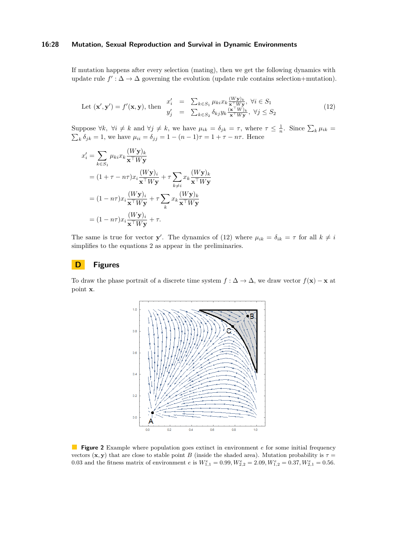#### **16:28 Mutation, Sexual Reproduction and Survival in Dynamic Environments**

<span id="page-27-0"></span>If mutation happens after every selection (mating), then we get the following dynamics with update rule  $f' : \Delta \to \Delta$  governing the evolution (update rule contains selection+mutation).

Let 
$$
(\mathbf{x}', \mathbf{y}') = f'(\mathbf{x}, \mathbf{y})
$$
, then 
$$
\begin{array}{rcl}\nx'_i &=& \sum_{k \in S_1} \mu_{ki} x_k \frac{(W \mathbf{y})_k}{\mathbf{x}^\top W \mathbf{y}}, \ \forall i \in S_1 \\
y'_j &=& \sum_{k \in S_2} \delta_{kj} y_k \frac{(\mathbf{x}^\top W)_k}{\mathbf{x}^\top W \mathbf{y}}, \ \forall j \le S_2\n\end{array} \tag{12}
$$

Suppose  $\forall k, \forall i \neq k$  and  $\forall j \neq k$ , we have  $\mu_{ik} = \delta_{jk} = \tau$ , where  $\tau \leq \frac{1}{n}$ . Since  $\sum_k \mu_{ik} =$  $\sum_{k} \delta_{jk} = 1$ , we have  $\mu_{ii} = \delta_{jj} = 1 - (n - 1)\tau = 1 + \tau - n\tau$ . Hence

$$
x'_{i} = \sum_{k \in S_{1}} \mu_{ki} x_{k} \frac{(W\mathbf{y})_{k}}{\mathbf{x}^{\top} W \mathbf{y}}
$$
  
=  $(1 + \tau - n\tau) x_{i} \frac{(W\mathbf{y})_{i}}{\mathbf{x}^{\top} W \mathbf{y}} + \tau \sum_{k \neq i} x_{k} \frac{(W\mathbf{y})_{k}}{\mathbf{x}^{\top} W \mathbf{y}}$   
=  $(1 - n\tau) x_{i} \frac{(W\mathbf{y})_{i}}{\mathbf{x}^{\top} W \mathbf{y}} + \tau \sum_{k} x_{k} \frac{(W\mathbf{y})_{k}}{\mathbf{x}^{\top} W \mathbf{y}}$   
=  $(1 - n\tau) x_{i} \frac{(W\mathbf{y})_{i}}{\mathbf{x}^{\top} W \mathbf{y}} + \tau.$ 

The same is true for vector **y**'. The dynamics of [\(12\)](#page-27-0) where  $\mu_{ik} = \delta_{ik} = \tau$  for all  $k \neq i$ simplifies to the equations [2](#page-6-0) as appear in the preliminaries.

### **D Figures**

<span id="page-27-1"></span>To draw the phase portrait of a discrete time system  $f : \Delta \to \Delta$ , we draw vector  $f(\mathbf{x}) - \mathbf{x}$  at point **x**.



**Figure 2** Example where population goes extinct in environment *e* for some initial frequency vectors  $(\mathbf{x}, \mathbf{y})$  that are close to stable point *B* (inside the shaded area). Mutation probability is  $\tau =$ 0.03 and the fitness matrix of environment e is  $W_{1,1}^e = 0.99, W_{2,2}^e = 2.09, W_{1,2}^e = 0.37, W_{2,1}^e = 0.56$ .